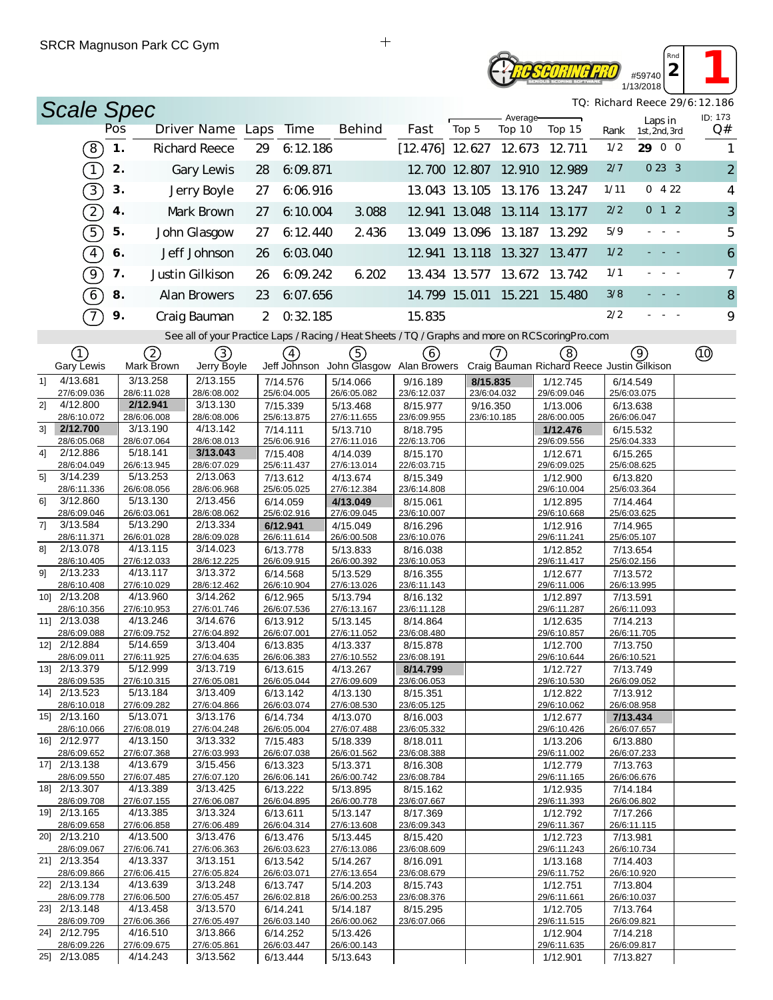| #59740    |
|-----------|
| 1/13/2018 |

 $\begin{array}{|c|c|c|}\n\hline\n2 & 1\n\end{array}$ *TQ: Richard Reece 29/6:12.186*

*Rnd*

|    | <b>Scale Spec</b>           |     |                         |                                                                                                   |                |                         |                                 |                         |       |                           |                                                   |                         |                          | TQ: Richard Reece 29/6:12.186 |
|----|-----------------------------|-----|-------------------------|---------------------------------------------------------------------------------------------------|----------------|-------------------------|---------------------------------|-------------------------|-------|---------------------------|---------------------------------------------------|-------------------------|--------------------------|-------------------------------|
|    |                             | Pos |                         | Driver Name Laps                                                                                  |                | Time                    | <b>Behind</b>                   | Fast                    | Top 5 | Average-<br>Top 10        | Top 15                                            | Rank                    | Laps in<br>1st, 2nd, 3rd | ID: 173<br>Q#                 |
|    | $\left(8\right)$            | 1.  |                         | <b>Richard Reece</b>                                                                              | 29             | 6:12.186                |                                 |                         |       | $[12, 476]$ 12.627 12.673 | 12.711                                            | 1/2                     | 29 0 0                   | 1                             |
|    | $\bigcap$                   | 2.  |                         | Gary Lewis                                                                                        | 28             | 6:09.871                |                                 |                         |       | 12.700 12.807 12.910      | 12.989                                            | 2/7                     | 0233                     | $\overline{2}$                |
|    | $\left(3\right)$            | 3.  |                         | Jerry Boyle                                                                                       | 27             | 6.06.916                |                                 |                         |       | 13.043 13.105 13.176      | 13.247                                            | 1/11                    | 0422                     | 4                             |
|    | $\widehat{\mathcal{Z}}$     | 4.  |                         | Mark Brown                                                                                        | 27             | 6:10.004                | 3.088                           |                         |       | 12.941 13.048 13.114      | 13.177                                            | 2/2                     | 0 1 2                    | 3                             |
|    | 5                           | 5.  |                         | John Glasgow                                                                                      | 27             | 6:12 440                | 2 4 3 6                         |                         |       | 13.049 13.096 13.187      | 13.292                                            | 5/9                     |                          | 5                             |
|    | $\boxed{4}$                 | 6.  |                         | Jeff Johnson                                                                                      | 26             | 6:03.040                |                                 |                         |       | 12.941 13.118 13.327      | 13.477                                            | 1/2                     |                          | $\boldsymbol{6}$              |
|    | ଚ                           | 7.  |                         | Justin Gilkison                                                                                   | 26             | 6:09.242                | 6.202                           |                         |       | 13.434 13.577 13.672      | 13.742                                            | 1/1                     |                          | $\overline{7}$                |
|    |                             |     |                         |                                                                                                   |                |                         |                                 |                         |       |                           |                                                   | 3/8                     |                          |                               |
|    | $\boxed{6}$                 | 8.  |                         | Alan Browers                                                                                      | 23             | 6:07.656                |                                 |                         |       | 14.799 15.011 15.221      | 15.480                                            |                         |                          | 8                             |
|    | $\mathcal{T}$               | 9.  |                         | Craig Bauman                                                                                      | $\overline{2}$ | 0.32.185                |                                 | 15.835                  |       |                           |                                                   | 2/2                     |                          | 9                             |
|    |                             |     |                         | See all of your Practice Laps / Racing / Heat Sheets / TQ / Graphs and more on RCS coring Pro.com |                |                         |                                 |                         |       |                           |                                                   |                         |                          |                               |
|    | ①<br>Gary Lewis             |     | 2<br>Mark Brown         | 3)<br>Jerry Boyle                                                                                 |                | $\left(4\right)$        | 5)<br>Jeff Johnson John Glasgow | (6)<br>Alan Browers     |       | 7.                        | (8)<br>Craig Bauman Richard Reece Justin Gilkison |                         | (9)                      |                               |
| 11 | 4/13.681                    |     | 3/13.258                | 2/13.155                                                                                          |                | 7/14.576                | 5/14.066                        | 9/16.189                |       | 8/15.835                  | 1/12.745                                          | 6/14.549                |                          |                               |
|    | 27/6:09.036                 |     | 28/6:11.028             | 28/6:08.002                                                                                       |                | 25/6:04.005             | 26/6:05.082                     | 23/6:12.037             |       | 23/6:04.032               | 29/6:09.046                                       | 25/6:03.075             |                          |                               |
| 2] | 4/12.800                    |     | 2/12.941                | 3/13.130                                                                                          |                | 7/15.339                | 5/13.468                        | 8/15.977                |       | 9/16.350                  | 1/13.006                                          | 6/13.638                |                          |                               |
|    | 28/6:10.072                 |     | 28/6:06.008             | 28/6:08.006                                                                                       |                | 25/6:13.875             | 27/6:11.655                     | 23/6:09.955             |       | 23/6:10.185               | 28/6:00.005                                       | 26/6:06.047             |                          |                               |
| 31 | 2/12.700<br>28/6:05.068     |     | 3/13.190<br>28/6:07.064 | 4/13.142<br>28/6:08.013                                                                           |                | 7/14.111<br>25/6:06.916 | 5/13.710<br>27/6:11.016         | 8/18.795<br>22/6:13.706 |       |                           | 1/12.476<br>29/6:09.556                           | 6/15.532<br>25/6:04.333 |                          |                               |
| 41 | 2/12.886                    |     | 5/18.141                | 3/13.043                                                                                          |                | 7/15.408                | 4/14.039                        | 8/15.170                |       |                           | 1/12.671                                          | 6/15.265                |                          |                               |
|    | 28/6:04.049                 |     | 26/6:13.945             | 28/6:07.029                                                                                       |                | 25/6:11.437             | 27/6:13.014                     | 22/6:03.715             |       |                           | 29/6:09.025                                       | 25/6:08.625             |                          |                               |
| 5] | 3/14.239                    |     | 5/13.253                | 2/13.063                                                                                          |                | 7/13.612                | 4/13.674                        | 8/15.349                |       |                           | 1/12.900                                          | 6/13.820                |                          |                               |
| 61 | 28/6:11.336<br>3/12.860     |     | 26/6:08.056<br>5/13.130 | 28/6:06.968<br>2/13.456                                                                           |                | 25/6:05.025<br>6/14.059 | 27/6:12.384<br>4/13.049         | 23/6:14.808<br>8/15.061 |       |                           | 29/6:10.004<br>1/12.895                           | 25/6:03.364<br>7/14.464 |                          |                               |
|    | 28/6:09.046                 |     | 26/6:03.061             | 28/6:08.062                                                                                       |                | 25/6:02.916             | 27/6:09.045                     | 23/6:10.007             |       |                           | 29/6:10.668                                       | 25/6:03.625             |                          |                               |
| 7] | 3/13.584                    |     | 5/13.290                | 2/13.334                                                                                          |                | 6/12.941                | 4/15.049                        | 8/16.296                |       |                           | 1/12.916                                          | 7/14.965                |                          |                               |
|    | 28/6:11.371                 |     | 26/6:01.028             | 28/6:09.028                                                                                       |                | 26/6:11.614             | 26/6:00.508                     | 23/6:10.076             |       |                           | 29/6:11.241                                       | 25/6:05.107             |                          |                               |
| 81 | 2/13.078                    |     | 4/13.115                | 3/14.023                                                                                          |                | 6/13.778                | 5/13.833                        | 8/16.038                |       |                           | 1/12.852                                          | 7/13.654                |                          |                               |
| 91 | 28/6:10.405<br>2/13.233     |     | 27/6:12.033<br>4/13.117 | 28/6:12.225<br>3/13.372                                                                           |                | 26/6:09.915<br>6/14.568 | 26/6:00.392<br>5/13.529         | 23/6:10.053<br>8/16.355 |       |                           | 29/6:11.417<br>1/12.677                           | 25/6:02.156<br>7/13.572 |                          |                               |
|    | 28/6:10.408                 |     | 27/6:10.029             | 28/6:12.462                                                                                       |                | 26/6:10.904             | 27/6:13.026                     | 23/6:11.143             |       |                           | 29/6:11.006                                       | 26/6:13.995             |                          |                               |
|    | 10] 2/13.208                |     | 4/13.960                | 3/14.262                                                                                          |                | 6/12.965                | 5/13.794                        | 8/16.132                |       |                           | 1/12.897                                          | 7/13.591                |                          |                               |
|    | 28/6:10.356                 |     | 27/6:10.953             | 27/6:01.746                                                                                       |                | 26/6:07.536             | 27/6:13.167                     | 23/6:11.128             |       |                           | 29/6:11.287                                       | 26/6:11.093             |                          |                               |
|    | 11] 2/13.038                |     | 4/13.246                | 3/14.676                                                                                          |                | 6/13.912                | 5/13.145                        | 8/14.864                |       |                           | 1/12.635                                          | 7/14.213                |                          |                               |
|    | 28/6:09.088<br>12] 2/12.884 |     | 27/6:09.752<br>5/14.659 | 27/6:04.892<br>3/13.404                                                                           |                | 26/6:07.001<br>6/13.835 | 27/6:11.052<br>4/13.337         | 23/6:08.480<br>8/15.878 |       |                           | 29/6:10.857<br>1/12.700                           | 26/6:11.705<br>7/13.750 |                          |                               |
|    | 28/6:09.011                 |     | 27/6:11.925             | 27/6:04.635                                                                                       |                | 26/6:06.383             | 27/6:10.552                     | 23/6:08.191             |       |                           | 29/6:10.644                                       | 26/6:10.521             |                          |                               |
|    | 13] 2/13.379                |     | 5/12.999                | 3/13.719                                                                                          |                | 6/13.615                | 4/13.267                        | 8/14.799                |       |                           | 1/12.727                                          | 7/13.749                |                          |                               |
|    | 28/6:09.535                 |     | 27/6:10.315             | 27/6:05.081                                                                                       |                | 26/6:05.044             | 27/6:09.609                     | 23/6:06.053             |       |                           | 29/6:10.530                                       | 26/6:09.052             |                          |                               |
|    | 14] 2/13.523<br>28/6:10.018 |     | 5/13.184<br>27/6:09.282 | 3/13.409<br>27/6:04.866                                                                           |                | 6/13.142<br>26/6:03.074 | 4/13.130<br>27/6:08.530         | 8/15.351<br>23/6:05.125 |       |                           | 1/12.822<br>29/6:10.062                           | 7/13.912<br>26/6:08.958 |                          |                               |
|    | 15] 2/13.160                |     | 5/13.071                | 3/13.176                                                                                          |                | 6/14.734                | 4/13.070                        | 8/16.003                |       |                           | 1/12.677                                          | 7/13.434                |                          |                               |
|    | 28/6:10.066                 |     | 27/6:08.019             | 27/6:04.248                                                                                       |                | 26/6:05.004             | 27/6:07.488                     | 23/6:05.332             |       |                           | 29/6:10.426                                       | 26/6:07.657             |                          |                               |
|    | 16] 2/12.977                |     | 4/13.150                | 3/13.332                                                                                          |                | 7/15.483                | 5/18.339                        | 8/18.011                |       |                           | 1/13.206                                          | 6/13.880                |                          |                               |
|    | 28/6:09.652<br>17] 2/13.138 |     | 27/6:07.368<br>4/13.679 | 27/6:03.993<br>3/15.456                                                                           |                | 26/6:07.038<br>6/13.323 | 26/6:01.562<br>5/13.371         | 23/6:08.388<br>8/16.308 |       |                           | 29/6:11.002<br>1/12.779                           | 26/6:07.233<br>7/13.763 |                          |                               |
|    | 28/6:09.550                 |     | 27/6:07.485             | 27/6:07.120                                                                                       |                | 26/6:06.141             | 26/6:00.742                     | 23/6:08.784             |       |                           | 29/6:11.165                                       | 26/6:06.676             |                          |                               |
|    | 18] 2/13.307                |     | 4/13.389                | 3/13.425                                                                                          |                | 6/13.222                | 5/13.895                        | 8/15.162                |       |                           | 1/12.935                                          | 7/14.184                |                          |                               |
|    | 28/6:09.708                 |     | 27/6:07.155             | 27/6:06.087                                                                                       |                | 26/6:04.895             | 26/6:00.778                     | 23/6:07.667             |       |                           | 29/6:11.393                                       | 26/6:06.802             |                          |                               |
|    | 19] 2/13.165                |     | 4/13.385                | 3/13.324                                                                                          |                | 6/13.611                | 5/13.147                        | 8/17.369                |       |                           | 1/12.792<br>29/6:11.367                           | 7/17.266                |                          |                               |
|    | 28/6:09.658<br>20] 2/13.210 |     | 27/6:06.858<br>4/13.500 | 27/6:06.489<br>3/13.476                                                                           |                | 26/6:04.314<br>6/13.476 | 27/6:13.608<br>5/13.445         | 23/6:09.343<br>8/15.420 |       |                           | 1/12.723                                          | 26/6:11.115<br>7/13.981 |                          |                               |
|    | 28/6:09.067                 |     | 27/6:06.741             | 27/6:06.363                                                                                       |                | 26/6:03.623             | 27/6:13.086                     | 23/6:08.609             |       |                           | 29/6:11.243                                       | 26/6:10.734             |                          |                               |
|    | 21] 2/13.354                |     | 4/13.337                | 3/13.151                                                                                          |                | 6/13.542                | 5/14.267                        | 8/16.091                |       |                           | 1/13.168                                          | 7/14.403                |                          |                               |
|    | 28/6:09.866                 |     | 27/6:06.415             | 27/6:05.824                                                                                       |                | 26/6:03.071             | 27/6:13.654                     | 23/6:08.679             |       |                           | 29/6:11.752                                       | 26/6:10.920             |                          |                               |
|    | 22] 2/13.134<br>28/6:09.778 |     | 4/13.639<br>27/6:06.500 | 3/13.248<br>27/6:05.457                                                                           |                | 6/13.747<br>26/6:02.818 | 5/14.203<br>26/6:00.253         | 8/15.743<br>23/6:08.376 |       |                           | 1/12.751<br>29/6:11.661                           | 7/13.804<br>26/6:10.037 |                          |                               |
|    | 23] 2/13.148                |     | 4/13.458                | 3/13.570                                                                                          |                | 6/14.241                | 5/14.187                        | 8/15.295                |       |                           | 1/12.705                                          | 7/13.764                |                          |                               |
|    | 28/6:09.709                 |     | 27/6:06.366             | 27/6:05.497                                                                                       |                | 26/6:03.140             | 26/6:00.062                     | 23/6:07.066             |       |                           | 29/6:11.515                                       | 26/6:09.821             |                          |                               |
|    | 24] 2/12.795<br>28/6:09.226 |     | 4/16.510<br>27/6:09.675 | 3/13.866<br>27/6:05.861                                                                           |                | 6/14.252<br>26/6:03.447 | 5/13.426<br>26/6:00.143         |                         |       |                           | 1/12.904<br>29/6:11.635                           | 7/14.218<br>26/6:09.817 |                          |                               |
|    | 25] 2/13.085                |     | 4/14.243                | 3/13.562                                                                                          |                | 6/13.444                | 5/13.643                        |                         |       |                           | 1/12.901                                          | 7/13.827                |                          |                               |
|    |                             |     |                         |                                                                                                   |                |                         |                                 |                         |       |                           |                                                   |                         |                          |                               |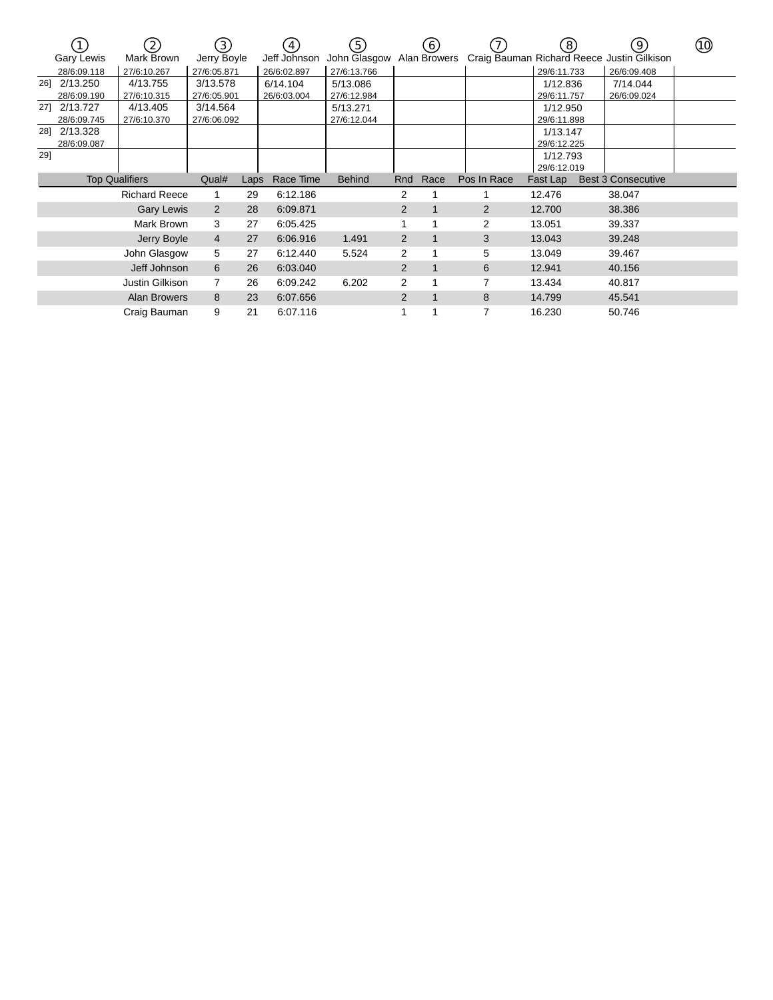|     |                   | $\left( 2\right)$     | (3)            |      | $\overline{4}$ | (5)           |                | (6)          |             | ็8)         | (9)                                        | (10) |
|-----|-------------------|-----------------------|----------------|------|----------------|---------------|----------------|--------------|-------------|-------------|--------------------------------------------|------|
|     | <b>Gary Lewis</b> | Mark Brown            | Jerry Boyle    |      | Jeff Johnson   | John Glasgow  |                | Alan Browers |             |             | Craig Bauman Richard Reece Justin Gilkison |      |
|     | 28/6:09.118       | 27/6:10.267           | 27/6:05.871    |      | 26/6:02.897    | 27/6:13.766   |                |              |             | 29/6:11.733 | 26/6:09.408                                |      |
| 26] | 2/13.250          | 4/13.755              | 3/13.578       |      | 6/14.104       | 5/13.086      |                |              |             | 1/12.836    | 7/14.044                                   |      |
|     | 28/6:09.190       | 27/6:10.315           | 27/6:05.901    |      | 26/6:03.004    | 27/6:12.984   |                |              |             | 29/6:11.757 | 26/6:09.024                                |      |
|     | 27] 2/13.727      | 4/13.405              | 3/14.564       |      |                | 5/13.271      |                |              |             | 1/12.950    |                                            |      |
|     | 28/6:09.745       | 27/6:10.370           | 27/6:06.092    |      |                | 27/6:12.044   |                |              |             | 29/6:11.898 |                                            |      |
|     | 28] 2/13.328      |                       |                |      |                |               |                |              |             | 1/13.147    |                                            |      |
|     | 28/6:09.087       |                       |                |      |                |               |                |              |             | 29/6:12.225 |                                            |      |
| 29] |                   |                       |                |      |                |               |                |              |             | 1/12.793    |                                            |      |
|     |                   |                       |                |      |                |               |                |              |             | 29/6:12.019 |                                            |      |
|     |                   | <b>Top Qualifiers</b> | Qual#          | Laps | Race Time      | <b>Behind</b> | Rnd            | Race         | Pos In Race | Fast Lap    | <b>Best 3 Consecutive</b>                  |      |
|     |                   | <b>Richard Reece</b>  |                | 29   | 6:12.186       |               | 2              |              |             | 12.476      | 38.047                                     |      |
|     |                   | <b>Gary Lewis</b>     | $\overline{2}$ | 28   | 6:09.871       |               | 2              |              | 2           | 12.700      | 38.386                                     |      |
|     |                   | Mark Brown            | 3              | 27   | 6:05.425       |               |                |              | 2           | 13.051      | 39.337                                     |      |
|     |                   | Jerry Boyle           | 4              | 27   | 6:06.916       | 1.491         | $\overline{2}$ | 1            | 3           | 13.043      | 39.248                                     |      |
|     |                   | John Glasgow          | 5              | 27   | 6:12.440       | 5.524         | 2              |              | 5           | 13.049      | 39.467                                     |      |
|     |                   | Jeff Johnson          | 6              | 26   | 6:03.040       |               | 2              | $\mathbf{1}$ | 6           | 12.941      | 40.156                                     |      |
|     |                   | Justin Gilkison       | $\overline{7}$ | 26   | 6:09.242       | 6.202         | $\overline{2}$ |              | 7           | 13.434      | 40.817                                     |      |
|     |                   | <b>Alan Browers</b>   | 8              | 23   | 6:07.656       |               | $\overline{2}$ | $\mathbf{1}$ | 8           | 14.799      | 45.541                                     |      |
|     |                   | Craig Bauman          | 9              | 21   | 6:07.116       |               |                |              | 7           | 16.230      | 50.746                                     |      |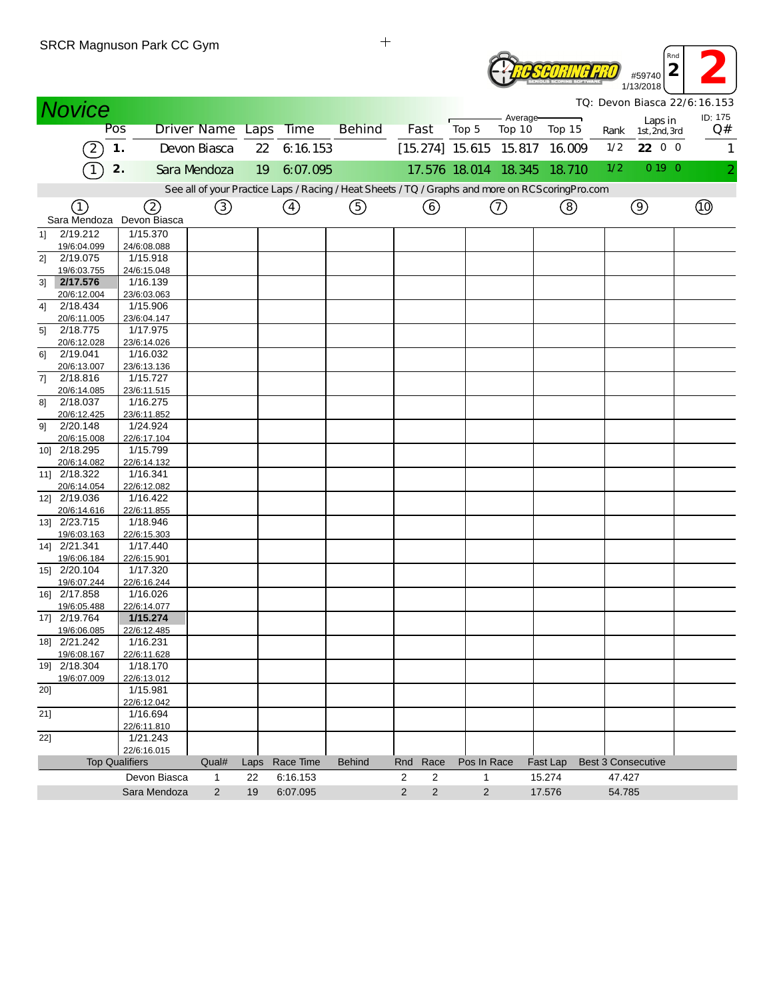|               |                         | SRUR Magnuson Park UU Gym            |              |      |                       |                                                                                                   |                              |                      |          |          |                           | Rnd<br>$\overline{2}$ |                                         |
|---------------|-------------------------|--------------------------------------|--------------|------|-----------------------|---------------------------------------------------------------------------------------------------|------------------------------|----------------------|----------|----------|---------------------------|-----------------------|-----------------------------------------|
|               |                         |                                      |              |      |                       |                                                                                                   |                              |                      |          |          |                           | #59740<br>1/13/2018   |                                         |
| <b>Novice</b> |                         |                                      |              |      |                       |                                                                                                   |                              |                      | Average- |          |                           | Laps in               | TQ: Devon Biasca 22/6:16.153<br>ID: 175 |
|               | Pos                     |                                      |              |      | Driver Name Laps Time | <b>Behind</b>                                                                                     | Fast                         | Top 5                | Top 10   | Top 15   | Rank                      | 1st, 2nd, 3rd         | Q#                                      |
|               | 2                       | $\mathbf 1$ .                        | Devon Biasca | 22   | 6:16.153              |                                                                                                   | $[15.274]$ 15.615 15.817     |                      |          | 16.009   | 1/2                       | 22 0 0                | 1                                       |
|               |                         | 2.                                   | Sara Mendoza | 19   | 6:07.095              |                                                                                                   |                              | 17.576 18.014 18.345 |          | 18.710   | 1/2                       | 0 19 0                |                                         |
|               |                         |                                      |              |      |                       | See all of your Practice Laps / Racing / Heat Sheets / TQ / Graphs and more on RCS coring Pro.com |                              |                      |          |          |                           |                       |                                         |
|               | (1)                     | ②                                    | ③            |      | ④                     | ⑤                                                                                                 | (6)                          |                      | ⊙        | ⑧        |                           | $\circledcirc$        | <u>ଏ</u> )                              |
|               |                         | Sara Mendoza Devon Biasca            |              |      |                       |                                                                                                   |                              |                      |          |          |                           |                       |                                         |
| 11            | 2/19.212<br>19/6:04.099 | 1/15.370<br>24/6:08.088              |              |      |                       |                                                                                                   |                              |                      |          |          |                           |                       |                                         |
| 21            | 2/19.075                | 1/15.918                             |              |      |                       |                                                                                                   |                              |                      |          |          |                           |                       |                                         |
|               | 19/6:03.755             | 24/6:15.048                          |              |      |                       |                                                                                                   |                              |                      |          |          |                           |                       |                                         |
| 3]            | 2/17.576                | 1/16.139                             |              |      |                       |                                                                                                   |                              |                      |          |          |                           |                       |                                         |
| 41            | 20/6:12.004<br>2/18.434 | 23/6:03.063<br>1/15.906              |              |      |                       |                                                                                                   |                              |                      |          |          |                           |                       |                                         |
|               | 20/6:11.005             | 23/6:04.147                          |              |      |                       |                                                                                                   |                              |                      |          |          |                           |                       |                                         |
| 5]            | 2/18.775                | 1/17.975                             |              |      |                       |                                                                                                   |                              |                      |          |          |                           |                       |                                         |
| 61            | 20/6:12.028<br>2/19.041 | 23/6:14.026<br>1/16.032              |              |      |                       |                                                                                                   |                              |                      |          |          |                           |                       |                                         |
|               | 20/6:13.007             | 23/6:13.136                          |              |      |                       |                                                                                                   |                              |                      |          |          |                           |                       |                                         |
| 71            | 2/18.816                | 1/15.727                             |              |      |                       |                                                                                                   |                              |                      |          |          |                           |                       |                                         |
|               | 20/6:14.085             | 23/6:11.515                          |              |      |                       |                                                                                                   |                              |                      |          |          |                           |                       |                                         |
| 81            | 2/18.037<br>20/6:12.425 | 1/16.275<br>23/6:11.852              |              |      |                       |                                                                                                   |                              |                      |          |          |                           |                       |                                         |
| 91            | 2/20.148                | 1/24.924                             |              |      |                       |                                                                                                   |                              |                      |          |          |                           |                       |                                         |
|               | 20/6:15.008             | 22/6:17.104                          |              |      |                       |                                                                                                   |                              |                      |          |          |                           |                       |                                         |
| 10] 2/18.295  |                         | 1/15.799                             |              |      |                       |                                                                                                   |                              |                      |          |          |                           |                       |                                         |
| 11] 2/18.322  | 20/6:14.082             | 22/6:14.132<br>1/16.341              |              |      |                       |                                                                                                   |                              |                      |          |          |                           |                       |                                         |
|               | 20/6:14.054             | 22/6:12.082                          |              |      |                       |                                                                                                   |                              |                      |          |          |                           |                       |                                         |
| 12] 2/19.036  |                         | 1/16.422                             |              |      |                       |                                                                                                   |                              |                      |          |          |                           |                       |                                         |
|               | 20/6:14.616             | 22/6:11.855                          |              |      |                       |                                                                                                   |                              |                      |          |          |                           |                       |                                         |
| 13] 2/23.715  | 19/6:03.163             | 1/18.946<br>22/6:15.303              |              |      |                       |                                                                                                   |                              |                      |          |          |                           |                       |                                         |
| 14] 2/21.341  |                         | 1/17.440                             |              |      |                       |                                                                                                   |                              |                      |          |          |                           |                       |                                         |
|               | 19/6:06.184             | 22/6:15.901                          |              |      |                       |                                                                                                   |                              |                      |          |          |                           |                       |                                         |
| 15] 2/20.104  |                         | 1/17.320                             |              |      |                       |                                                                                                   |                              |                      |          |          |                           |                       |                                         |
| 16] 2/17.858  | 19/6:07.244             | 22/6:16.244<br>1/16.026              |              |      |                       |                                                                                                   |                              |                      |          |          |                           |                       |                                         |
|               | 19/6:05.488             | 22/6:14.077                          |              |      |                       |                                                                                                   |                              |                      |          |          |                           |                       |                                         |
| 17] 2/19.764  |                         | 1/15.274                             |              |      |                       |                                                                                                   |                              |                      |          |          |                           |                       |                                         |
|               | 19/6:06.085             | 22/6:12.485                          |              |      |                       |                                                                                                   |                              |                      |          |          |                           |                       |                                         |
| 18] 2/21.242  | 19/6:08.167             | 1/16.231<br>22/6:11.628              |              |      |                       |                                                                                                   |                              |                      |          |          |                           |                       |                                         |
| 19] 2/18.304  |                         | 1/18.170                             |              |      |                       |                                                                                                   |                              |                      |          |          |                           |                       |                                         |
|               | 19/6:07.009             | 22/6:13.012                          |              |      |                       |                                                                                                   |                              |                      |          |          |                           |                       |                                         |
| 20]           |                         | 1/15.981<br>22/6:12.042              |              |      |                       |                                                                                                   |                              |                      |          |          |                           |                       |                                         |
| 21]           |                         | 1/16.694                             |              |      |                       |                                                                                                   |                              |                      |          |          |                           |                       |                                         |
|               |                         | 22/6:11.810                          |              |      |                       |                                                                                                   |                              |                      |          |          |                           |                       |                                         |
| 22]           |                         | 1/21.243                             |              |      |                       |                                                                                                   |                              |                      |          |          |                           |                       |                                         |
|               |                         | 22/6:16.015<br><b>Top Qualifiers</b> | Qual#        | Laps | Race Time             | <b>Behind</b>                                                                                     | Race<br>Rnd                  | Pos In Race          |          | Fast Lap | <b>Best 3 Consecutive</b> |                       |                                         |
|               |                         | Devon Biasca                         | $\mathbf{1}$ | 22   | 6:16.153              |                                                                                                   | $\overline{2}$<br>2          | 1                    |          | 15.274   | 47.427                    |                       |                                         |
|               |                         | Sara Mendoza                         | 2            | 19   | 6:07.095              |                                                                                                   | $\overline{2}$<br>$\sqrt{2}$ | $\overline{2}$       |          | 17.576   | 54.785                    |                       |                                         |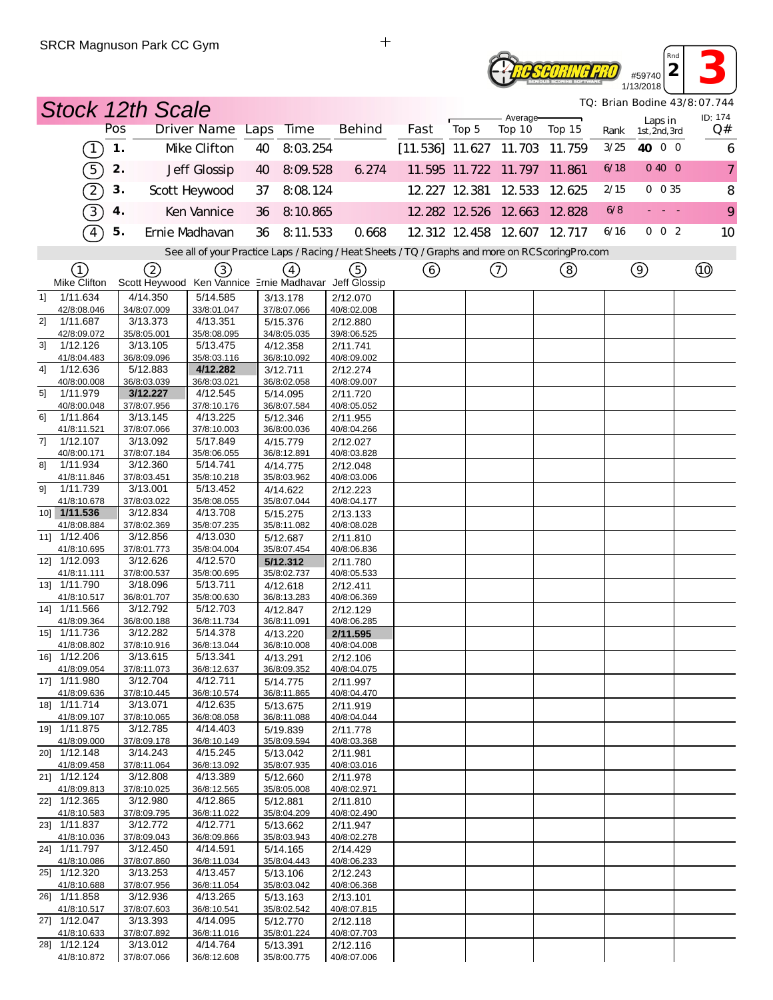## #59740<br>#59740<br>**2 3**<br>3/2018 **RESEORING PRO** 1/13/2018

*TQ: Brian Bodine 43/8:07.744*

*Rnd*

|    | <b>Stock 12th Scale</b>     |     |                         |                                                       |    |                         |                                                                                                   |                          |       |                             |        |      |                          | TQ: Brian Bodine 43/8:07.744 |
|----|-----------------------------|-----|-------------------------|-------------------------------------------------------|----|-------------------------|---------------------------------------------------------------------------------------------------|--------------------------|-------|-----------------------------|--------|------|--------------------------|------------------------------|
|    |                             | Pos |                         | Driver Name Laps Time                                 |    |                         | <b>Behind</b>                                                                                     | Fast                     | Top 5 | Average-<br>Top 10          | Top 15 | Rank | Laps in<br>1st, 2nd, 3rd | ID: 174<br>Q#                |
|    | (1)                         | 1.  |                         | Mke Clifton                                           | 40 | 8:03.254                |                                                                                                   | $[11.536]$ 11.627 11.703 |       |                             | 11.759 | 3/25 | 40 0 0                   | 6                            |
|    | 5)                          | 2.  |                         | Jeff Glossip                                          | 40 | 8:09.528                | 6.274                                                                                             |                          |       | 11.595 11.722 11.797        | 11.861 | 6/18 | 0400                     | $\overline{7}$               |
|    | $\left( 2\right)$           | 3.  |                         | Scott Heywood                                         | 37 | 8:08.124                |                                                                                                   |                          |       | 12.227 12.381 12.533        | 12.625 | 2/15 | 0 0 35                   | 8                            |
|    | 3)                          | 4.  |                         | Ken Vannice                                           | 36 | 8:10.865                |                                                                                                   |                          |       | 12.282 12.526 12.663 12.828 |        | 6/8  |                          | 9                            |
|    | $\sqrt{4}$                  | 5.  |                         | Ernie Madhavan                                        | 36 | 8:11.533                | 0.668                                                                                             |                          |       | 12 312 12 458 12 607 12 717 |        | 6/16 | 002                      | 10                           |
|    |                             |     |                         |                                                       |    |                         | See all of your Practice Laps / Racing / Heat Sheets / TQ / Graphs and more on RCS coring Pro.com |                          |       |                             |        |      |                          |                              |
|    | ①                           |     | (2)                     | $\left(3\right)$                                      |    | $\left(4\right)$        | (5)                                                                                               | ⊙                        |       | $^\copyright$               | ③      |      | $\circledcirc$           | $^{\circledR}$               |
|    | Mike Clifton                |     |                         | Scott Heywood Ken Vannice Ernie Madhavar Jeff Glossip |    |                         |                                                                                                   |                          |       |                             |        |      |                          |                              |
| 11 | 1/11.634                    |     | 4/14.350                | 5/14.585                                              |    | 3/13.178                | 2/12.070                                                                                          |                          |       |                             |        |      |                          |                              |
| 2] | 42/8:08.046<br>1/11.687     |     | 34/8:07.009<br>3/13.373 | 33/8:01.047<br>4/13.351                               |    | 37/8:07.066<br>5/15.376 | 40/8:02.008<br>2/12.880                                                                           |                          |       |                             |        |      |                          |                              |
|    | 42/8:09.072                 |     | 35/8:05.001             | 35/8:08.095                                           |    | 34/8:05.035             | 39/8:06.525                                                                                       |                          |       |                             |        |      |                          |                              |
| 31 | 1/12.126                    |     | 3/13.105                | 5/13.475                                              |    | 4/12.358                | 2/11.741                                                                                          |                          |       |                             |        |      |                          |                              |
| 4] | 41/8:04.483<br>1/12.636     |     | 36/8:09.096<br>5/12.883 | 35/8:03.116<br>4/12.282                               |    | 36/8:10.092             | 40/8:09.002                                                                                       |                          |       |                             |        |      |                          |                              |
|    | 40/8:00.008                 |     | 36/8:03.039             | 36/8:03.021                                           |    | 3/12.711<br>36/8:02.058 | 2/12.274<br>40/8:09.007                                                                           |                          |       |                             |        |      |                          |                              |
| 51 | 1/11.979                    |     | 3/12.227                | 4/12.545                                              |    | 5/14.095                | 2/11.720                                                                                          |                          |       |                             |        |      |                          |                              |
|    | 40/8:00.048                 |     | 37/8:07.956             | 37/8:10.176                                           |    | 36/8:07.584             | 40/8:05.052                                                                                       |                          |       |                             |        |      |                          |                              |
| 61 | 1/11.864                    |     | 3/13.145                | 4/13.225                                              |    | 5/12.346                | 2/11.955                                                                                          |                          |       |                             |        |      |                          |                              |
| 71 | 41/8:11.521<br>1/12.107     |     | 37/8:07.066<br>3/13.092 | 37/8:10.003<br>5/17.849                               |    | 36/8:00.036<br>4/15.779 | 40/8:04.266<br>2/12.027                                                                           |                          |       |                             |        |      |                          |                              |
|    | 40/8:00.171                 |     | 37/8:07.184             | 35/8:06.055                                           |    | 36/8:12.891             | 40/8:03.828                                                                                       |                          |       |                             |        |      |                          |                              |
| 81 | 1/11.934                    |     | 3/12.360                | 5/14.741                                              |    | 4/14.775                | 2/12.048                                                                                          |                          |       |                             |        |      |                          |                              |
|    | 41/8:11.846                 |     | 37/8:03.451             | 35/8:10.218                                           |    | 35/8:03.962             | 40/8:03.006                                                                                       |                          |       |                             |        |      |                          |                              |
| 91 | 1/11.739<br>41/8:10.678     |     | 3/13.001<br>37/8:03.022 | 5/13.452<br>35/8:08.055                               |    | 4/14.622<br>35/8:07.044 | 2/12.223<br>40/8:04.177                                                                           |                          |       |                             |        |      |                          |                              |
|    | 10] 1/11.536                |     | 3/12.834                | 4/13.708                                              |    | 5/15.275                | 2/13.133                                                                                          |                          |       |                             |        |      |                          |                              |
|    | 41/8:08.884                 |     | 37/8:02.369             | 35/8:07.235                                           |    | 35/8:11.082             | 40/8:08.028                                                                                       |                          |       |                             |        |      |                          |                              |
|    | 11] 1/12.406                |     | 3/12.856                | 4/13.030                                              |    | 5/12.687                | 2/11.810                                                                                          |                          |       |                             |        |      |                          |                              |
|    | 41/8:10.695<br>12] 1/12.093 |     | 37/8:01.773<br>3/12.626 | 35/8:04.004<br>4/12.570                               |    | 35/8:07.454<br>5/12.312 | 40/8:06.836<br>2/11.780                                                                           |                          |       |                             |        |      |                          |                              |
|    | 41/8:11.111                 |     | 37/8:00.537             | 35/8:00.695                                           |    | 35/8:02.737             | 40/8:05.533                                                                                       |                          |       |                             |        |      |                          |                              |
|    | 13] 1/11.790                |     | 3/18.096                | 5/13.711                                              |    | 4/12.618                | 2/12.411                                                                                          |                          |       |                             |        |      |                          |                              |
|    | 41/8:10.517                 |     | 36/8:01.707             | 35/8:00.630                                           |    | 36/8:13.283             | 40/8:06.369                                                                                       |                          |       |                             |        |      |                          |                              |
|    | 14] 1/11.566<br>41/8:09.364 |     | 3/12.792<br>36/8:00.188 | 5/12.703<br>36/8:11.734                               |    | 4/12.847<br>36/8:11.091 | 2/12.129<br>40/8:06.285                                                                           |                          |       |                             |        |      |                          |                              |
|    | 15] 1/11.736                |     | 3/12.282                | 5/14.378                                              |    | 4/13.220                | 2/11.595                                                                                          |                          |       |                             |        |      |                          |                              |
|    | 41/8:08.802                 |     | 37/8:10.916             | 36/8:13.044                                           |    | 36/8:10.008             | 40/8:04.008                                                                                       |                          |       |                             |        |      |                          |                              |
|    | 16] 1/12.206                |     | 3/13.615                | 5/13.341                                              |    | 4/13.291                | 2/12.106                                                                                          |                          |       |                             |        |      |                          |                              |
|    | 41/8:09.054<br>17] 1/11.980 |     | 37/8:11.073<br>3/12.704 | 36/8:12.637<br>4/12.711                               |    | 36/8:09.352             | 40/8:04.075                                                                                       |                          |       |                             |        |      |                          |                              |
|    | 41/8:09.636                 |     | 37/8:10.445             | 36/8:10.574                                           |    | 5/14.775<br>36/8:11.865 | 2/11.997<br>40/8:04.470                                                                           |                          |       |                             |        |      |                          |                              |
|    | 18] 1/11.714                |     | 3/13.071                | 4/12.635                                              |    | 5/13.675                | 2/11.919                                                                                          |                          |       |                             |        |      |                          |                              |
|    | 41/8:09.107                 |     | 37/8:10.065             | 36/8:08.058                                           |    | 36/8:11.088             | 40/8:04.044                                                                                       |                          |       |                             |        |      |                          |                              |
|    | 19] 1/11.875<br>41/8:09.000 |     | 3/12.785<br>37/8:09.178 | 4/14.403<br>36/8:10.149                               |    | 5/19.839<br>35/8:09.594 | 2/11.778<br>40/8:03.368                                                                           |                          |       |                             |        |      |                          |                              |
|    | 20] 1/12.148                |     | 3/14.243                | 4/15.245                                              |    | 5/13.042                | 2/11.981                                                                                          |                          |       |                             |        |      |                          |                              |
|    | 41/8:09.458                 |     | 37/8:11.064             | 36/8:13.092                                           |    | 35/8:07.935             | 40/8:03.016                                                                                       |                          |       |                             |        |      |                          |                              |
|    | 21] 1/12.124                |     | 3/12.808                | 4/13.389                                              |    | 5/12.660                | 2/11.978                                                                                          |                          |       |                             |        |      |                          |                              |
|    | 41/8:09.813<br>22] 1/12.365 |     | 37/8:10.025<br>3/12.980 | 36/8:12.565<br>4/12.865                               |    | 35/8:05.008<br>5/12.881 | 40/8:02.971<br>2/11.810                                                                           |                          |       |                             |        |      |                          |                              |
|    | 41/8:10.583                 |     | 37/8:09.795             | 36/8:11.022                                           |    | 35/8:04.209             | 40/8:02.490                                                                                       |                          |       |                             |        |      |                          |                              |
|    | 23] 1/11.837                |     | 3/12.772                | 4/12.771                                              |    | 5/13.662                | 2/11.947                                                                                          |                          |       |                             |        |      |                          |                              |
|    | 41/8:10.036                 |     | 37/8:09.043             | 36/8:09.866                                           |    | 35/8:03.943             | 40/8:02.278                                                                                       |                          |       |                             |        |      |                          |                              |
|    | 24] 1/11.797<br>41/8:10.086 |     | 3/12.450<br>37/8:07.860 | 4/14.591<br>36/8:11.034                               |    | 5/14.165<br>35/8:04.443 | 2/14.429<br>40/8:06.233                                                                           |                          |       |                             |        |      |                          |                              |
|    | 25] 1/12.320                |     | 3/13.253                | 4/13.457                                              |    | 5/13.106                | 2/12.243                                                                                          |                          |       |                             |        |      |                          |                              |
|    | 41/8:10.688                 |     | 37/8:07.956             | 36/8:11.054                                           |    | 35/8:03.042             | 40/8:06.368                                                                                       |                          |       |                             |        |      |                          |                              |
|    | 26] 1/11.858                |     | 3/12.936                | 4/13.265                                              |    | 5/13.163                | 2/13.101                                                                                          |                          |       |                             |        |      |                          |                              |
|    | 41/8:10.517<br>27] 1/12.047 |     | 37/8:07.603<br>3/13.393 | 36/8:10.541<br>4/14.095                               |    | 35/8:02.542<br>5/12.770 | 40/8:07.815<br>2/12.118                                                                           |                          |       |                             |        |      |                          |                              |
|    | 41/8:10.633                 |     | 37/8:07.892             | 36/8:11.016                                           |    | 35/8:01.224             | 40/8:07.703                                                                                       |                          |       |                             |        |      |                          |                              |
|    | 28] 1/12.124                |     | 3/13.012                | 4/14.764                                              |    | 5/13.391                | 2/12.116                                                                                          |                          |       |                             |        |      |                          |                              |
|    | 41/8:10.872                 |     | 37/8:07.066             | 36/8:12.608                                           |    | 35/8:00.775             | 40/8:07.006                                                                                       |                          |       |                             |        |      |                          |                              |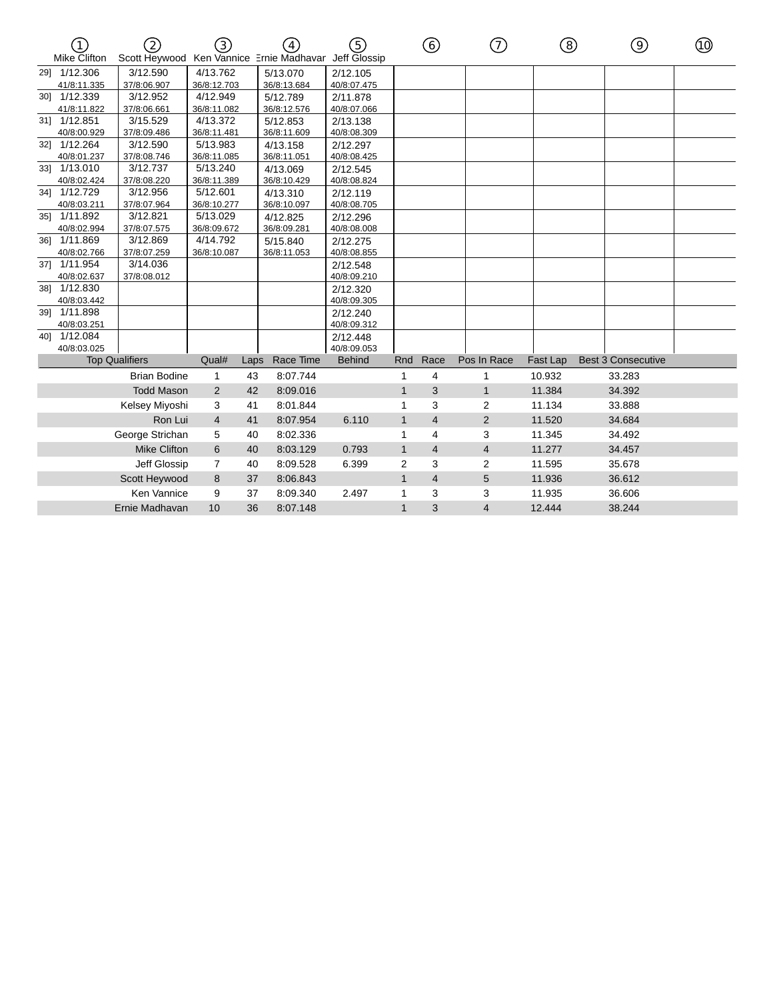|                             | 2                                        | 3)             |      |             | 5)                           |                | ⊙              | 7)             | (8)      | ⊚                         | (10) |
|-----------------------------|------------------------------------------|----------------|------|-------------|------------------------------|----------------|----------------|----------------|----------|---------------------------|------|
| <b>Mike Clifton</b>         | Scott Heywood Ken Vannice Ernie Madhavar |                |      |             | Jeff Glossip                 |                |                |                |          |                           |      |
| 291 1/12.306                | 3/12.590                                 | 4/13.762       |      | 5/13.070    | 2/12.105                     |                |                |                |          |                           |      |
| 41/8:11.335                 | 37/8:06.907                              | 36/8:12.703    |      | 36/8:13.684 | 40/8:07.475                  |                |                |                |          |                           |      |
| 30] 1/12.339                | 3/12.952                                 | 4/12.949       |      | 5/12.789    | 2/11.878                     |                |                |                |          |                           |      |
| 41/8:11.822                 | 37/8:06.661                              | 36/8:11.082    |      | 36/8:12.576 | 40/8:07.066                  |                |                |                |          |                           |      |
| 31] 1/12.851                | 3/15.529                                 | 4/13.372       |      | 5/12.853    | 2/13.138                     |                |                |                |          |                           |      |
| 40/8:00.929                 | 37/8:09.486                              | 36/8:11.481    |      | 36/8:11.609 | 40/8:08.309                  |                |                |                |          |                           |      |
| 32] 1/12.264                | 3/12.590                                 | 5/13.983       |      | 4/13.158    | 2/12.297                     |                |                |                |          |                           |      |
| 40/8:01.237                 | 37/8:08.746                              | 36/8:11.085    |      | 36/8:11.051 | 40/8:08.425                  |                |                |                |          |                           |      |
| 33] 1/13.010                | 3/12.737                                 | 5/13.240       |      | 4/13.069    | 2/12.545                     |                |                |                |          |                           |      |
| 40/8:02.424                 | 37/8:08.220                              | 36/8:11.389    |      | 36/8:10.429 | 40/8:08.824                  |                |                |                |          |                           |      |
| 34] 1/12.729                | 3/12.956                                 | 5/12.601       |      | 4/13.310    | 2/12.119                     |                |                |                |          |                           |      |
| 40/8:03.211                 | 37/8:07.964                              | 36/8:10.277    |      | 36/8:10.097 | 40/8:08.705                  |                |                |                |          |                           |      |
| 35] 1/11.892                | 3/12.821                                 | 5/13.029       |      | 4/12.825    | 2/12.296                     |                |                |                |          |                           |      |
| 40/8:02.994                 | 37/8:07.575                              | 36/8:09.672    |      | 36/8:09.281 | 40/8:08.008                  |                |                |                |          |                           |      |
| 36] 1/11.869                | 3/12.869                                 | 4/14.792       |      | 5/15.840    | 2/12.275                     |                |                |                |          |                           |      |
| 40/8:02.766                 | 37/8:07.259                              | 36/8:10.087    |      | 36/8:11.053 | 40/8:08.855                  |                |                |                |          |                           |      |
| 37] 1/11.954                | 3/14.036                                 |                |      |             | 2/12.548                     |                |                |                |          |                           |      |
| 40/8:02.637                 | 37/8:08.012                              |                |      |             | 40/8:09.210                  |                |                |                |          |                           |      |
| 38] 1/12.830                |                                          |                |      |             | 2/12.320                     |                |                |                |          |                           |      |
| 40/8:03.442                 |                                          |                |      |             | 40/8:09.305                  |                |                |                |          |                           |      |
| 39] 1/11.898                |                                          |                |      |             | 2/12.240                     |                |                |                |          |                           |      |
| 40/8:03.251                 |                                          |                |      |             | 40/8:09.312                  |                |                |                |          |                           |      |
| 40] 1/12.084<br>40/8:03.025 |                                          |                |      |             | 2/12.448                     |                |                |                |          |                           |      |
|                             | <b>Top Qualifiers</b>                    | Qual#          | Laps | Race Time   | 40/8:09.053<br><b>Behind</b> | Rnd            | Race           | Pos In Race    | Fast Lap | <b>Best 3 Consecutive</b> |      |
|                             |                                          |                |      |             |                              |                |                |                |          |                           |      |
|                             | <b>Brian Bodine</b>                      | 1              | 43   | 8:07.744    |                              | 1              | 4              | 1              | 10.932   | 33.283                    |      |
|                             | <b>Todd Mason</b>                        | $\overline{2}$ | 42   | 8:09.016    |                              | $\mathbf{1}$   | 3              | $\mathbf{1}$   | 11.384   | 34.392                    |      |
|                             | Kelsey Miyoshi                           | 3              | 41   | 8:01.844    |                              |                | 3              | $\overline{2}$ | 11.134   | 33.888                    |      |
|                             | Ron Lui                                  | $\overline{4}$ | 41   | 8:07.954    | 6.110                        | $\mathbf{1}$   | $\overline{4}$ | 2              | 11.520   | 34.684                    |      |
|                             | George Strichan                          | 5              | 40   | 8:02.336    |                              | 1              | $\overline{4}$ | 3              | 11.345   | 34.492                    |      |
|                             | <b>Mike Clifton</b>                      | 6              | 40   | 8:03.129    | 0.793                        | $\mathbf{1}$   | $\overline{4}$ | $\overline{4}$ | 11.277   | 34.457                    |      |
|                             | Jeff Glossip                             | $\overline{7}$ | 40   | 8:09.528    | 6.399                        | $\overline{2}$ | 3              | $\overline{2}$ | 11.595   | 35.678                    |      |
|                             | Scott Heywood                            | 8              | 37   | 8:06.843    |                              | $\mathbf{1}$   | $\overline{4}$ | 5              | 11.936   | 36.612                    |      |
|                             | Ken Vannice                              | 9              | 37   | 8:09.340    | 2.497                        | $\mathbf{1}$   | 3              | 3              | 11.935   | 36.606                    |      |
|                             | Ernie Madhavan                           | 10             | 36   | 8:07.148    |                              | $\mathbf{1}$   | 3              | $\overline{4}$ | 12.444   | 38.244                    |      |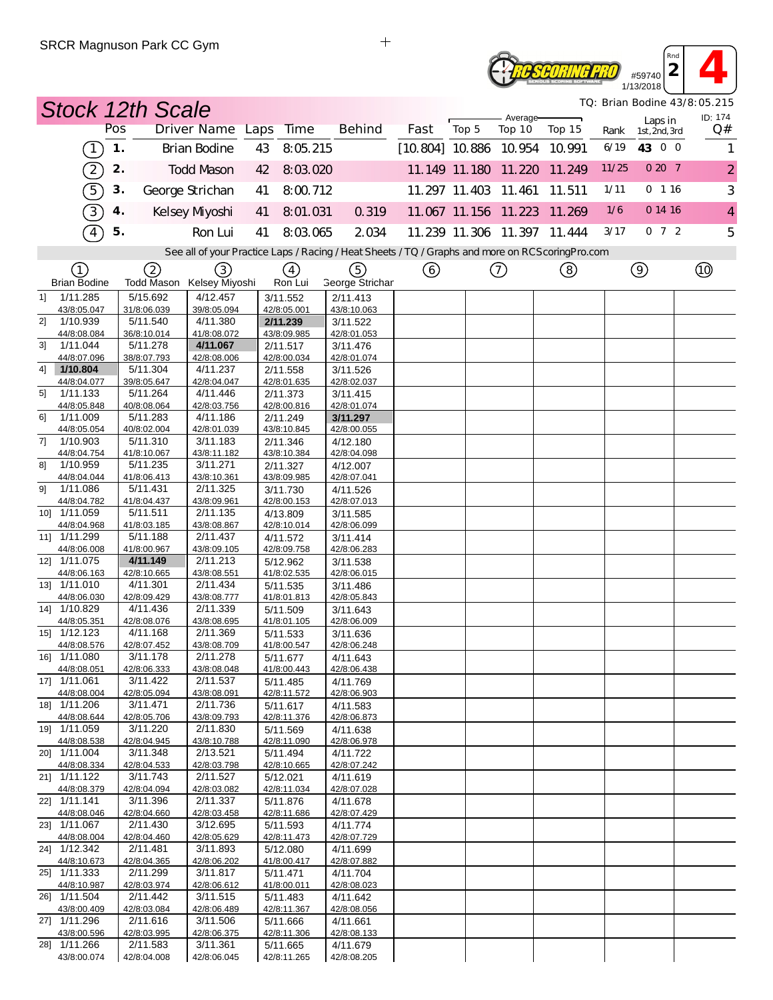#### **2 1**<br> **2 1**<br> **2 1**<br> **1**<br> **1**<br> **1**<br> **1** *Rnd* **Reseoring Pro** 1/13/2018

*TQ: Brian Bodine 43/8:05.215*

|    |                             |               | <b>Stock 12th Scale</b> |                                                                                                   |    |                         |                         |                          |       |                      |                             |       |                          | TQ: Brian Bodine 43/8:05.215 |
|----|-----------------------------|---------------|-------------------------|---------------------------------------------------------------------------------------------------|----|-------------------------|-------------------------|--------------------------|-------|----------------------|-----------------------------|-------|--------------------------|------------------------------|
|    |                             | Pos           |                         | Driver Name Laps                                                                                  |    | Time                    | <b>Behind</b>           | Fast                     | Top 5 | Average-<br>Top 10   | Top 15                      | Rank  | Laps in<br>1st, 2nd, 3rd | ID: 174<br>Q#                |
|    | $\left( 1\right)$           | $\mathbf 1$ . |                         | <b>Brian Bodine</b>                                                                               | 43 | 8:05.215                |                         | $[10.804]$ 10.886 10.954 |       |                      | 10.991                      | 6/19  | 43 0 0                   | 1                            |
|    | Z                           | 2.            |                         | <b>Todd Mason</b>                                                                                 | 42 | 8:03.020                |                         |                          |       | 11.149 11.180 11.220 | 11.249                      | 11/25 | 0207                     | $\overline{2}$               |
|    | 5)                          | 3.            |                         | George Strichan                                                                                   | 41 | 8:00.712                |                         |                          |       | 11.297 11.403 11.461 | 11.511                      | 1/11  | 0 116                    | 3                            |
|    | 3)                          | 4.            |                         | Kelsey Myoshi                                                                                     | 41 | 8:01.031                | 0.319                   |                          |       | 11.067 11.156 11.223 | 11.269                      | 1/6   | 0 14 16                  | $\overline{4}$               |
|    | $\boxed{4}$                 | 5.            |                         | Ron Lui                                                                                           | 41 | 8:03.065                | 2 0 34                  |                          |       |                      | 11.239 11.306 11.397 11.444 | 3/17  | $0 \t7 \t2$              | 5                            |
|    |                             |               |                         | See all of your Practice Laps / Racing / Heat Sheets / TQ / Graphs and more on RCS coring Pro.com |    |                         |                         |                          |       |                      |                             |       |                          |                              |
|    | (1)                         |               | (2)                     | 3)                                                                                                |    | $\binom{4}{ }$          | (5)                     | ⊙                        |       | ➀                    | ③                           |       | $\circledcirc$           |                              |
|    | <b>Brian Bodine</b>         |               |                         | Todd Mason Kelsey Miyoshi                                                                         |    | Ron Lui                 | <b>George Strichar</b>  |                          |       |                      |                             |       |                          |                              |
| 11 | 1/11.285<br>43/8:05.047     |               | 5/15.692<br>31/8:06.039 | 4/12.457<br>39/8:05.094                                                                           |    | 3/11.552<br>42/8:05.001 | 2/11.413<br>43/8:10.063 |                          |       |                      |                             |       |                          |                              |
| 2] | 1/10.939                    |               | 5/11.540                | 4/11.380                                                                                          |    | 2/11.239                | 3/11.522                |                          |       |                      |                             |       |                          |                              |
| 31 | 44/8:08.084<br>1/11.044     |               | 36/8:10.014<br>5/11.278 | 41/8:08.072<br>4/11.067                                                                           |    | 43/8:09.985<br>2/11.517 | 42/8:01.053<br>3/11.476 |                          |       |                      |                             |       |                          |                              |
|    | 44/8:07.096                 |               | 38/8:07.793             | 42/8:08.006                                                                                       |    | 42/8:00.034             | 42/8:01.074             |                          |       |                      |                             |       |                          |                              |
| 4] | 1/10.804                    |               | 5/11.304                | 4/11.237                                                                                          |    | 2/11.558                | 3/11.526                |                          |       |                      |                             |       |                          |                              |
|    | 44/8:04.077                 |               | 39/8:05.647             | 42/8:04.047                                                                                       |    | 42/8:01.635             | 42/8:02.037             |                          |       |                      |                             |       |                          |                              |
| 51 | 1/11.133                    |               | 5/11.264                | 4/11.446                                                                                          |    | 2/11.373                | 3/11.415                |                          |       |                      |                             |       |                          |                              |
| 61 | 44/8:05.848<br>1/11.009     |               | 40/8:08.064<br>5/11.283 | 42/8:03.756<br>4/11.186                                                                           |    | 42/8:00.816<br>2/11.249 | 42/8:01.074<br>3/11.297 |                          |       |                      |                             |       |                          |                              |
|    | 44/8:05.054                 |               | 40/8:02.004             | 42/8:01.039                                                                                       |    | 43/8:10.845             | 42/8:00.055             |                          |       |                      |                             |       |                          |                              |
| 71 | 1/10.903                    |               | 5/11.310                | 3/11.183                                                                                          |    | 2/11.346                | 4/12.180                |                          |       |                      |                             |       |                          |                              |
|    | 44/8:04.754                 |               | 41/8:10.067             | 43/8:11.182                                                                                       |    | 43/8:10.384             | 42/8:04.098             |                          |       |                      |                             |       |                          |                              |
| 81 | 1/10.959<br>44/8:04.044     |               | 5/11.235<br>41/8:06.413 | 3/11.271<br>43/8:10.361                                                                           |    | 2/11.327<br>43/8:09.985 | 4/12.007<br>42/8:07.041 |                          |       |                      |                             |       |                          |                              |
| 91 | 1/11.086                    |               | 5/11.431                | 2/11.325                                                                                          |    | 3/11.730                | 4/11.526                |                          |       |                      |                             |       |                          |                              |
|    | 44/8:04.782                 |               | 41/8:04.437             | 43/8:09.961                                                                                       |    | 42/8:00.153             | 42/8:07.013             |                          |       |                      |                             |       |                          |                              |
|    | 10] 1/11.059                |               | 5/11.511                | 2/11.135                                                                                          |    | 4/13.809                | 3/11.585                |                          |       |                      |                             |       |                          |                              |
|    | 44/8:04.968<br>11] 1/11.299 |               | 41/8:03.185<br>5/11.188 | 43/8:08.867<br>2/11.437                                                                           |    | 42/8:10.014<br>4/11.572 | 42/8:06.099<br>3/11.414 |                          |       |                      |                             |       |                          |                              |
|    | 44/8:06.008                 |               | 41/8:00.967             | 43/8:09.105                                                                                       |    | 42/8:09.758             | 42/8:06.283             |                          |       |                      |                             |       |                          |                              |
|    | 12] 1/11.075                |               | 4/11.149                | 2/11.213                                                                                          |    | 5/12.962                | 3/11.538                |                          |       |                      |                             |       |                          |                              |
|    | 44/8:06.163                 |               | 42/8:10.665             | 43/8:08.551                                                                                       |    | 41/8:02.535             | 42/8:06.015             |                          |       |                      |                             |       |                          |                              |
|    | 13] 1/11.010<br>44/8:06.030 |               | 4/11.301<br>42/8:09.429 | 2/11.434                                                                                          |    | 5/11.535<br>41/8:01.813 | 3/11.486<br>42/8:05.843 |                          |       |                      |                             |       |                          |                              |
|    | 14] 1/10.829                |               | 4/11.436                | 43/8:08.777<br>2/11.339                                                                           |    | 5/11.509                | 3/11.643                |                          |       |                      |                             |       |                          |                              |
|    | 44/8:05.351                 |               | 42/8:08.076             | 43/8:08.695                                                                                       |    | 41/8:01.105             | 42/8:06.009             |                          |       |                      |                             |       |                          |                              |
|    | 15] 1/12.123                |               | 4/11.168                | 2/11.369                                                                                          |    | 5/11.533                | 3/11.636                |                          |       |                      |                             |       |                          |                              |
|    | 44/8:08.576<br>16] 1/11.080 |               | 42/8:07.452<br>3/11.178 | 43/8:08.709<br>2/11.278                                                                           |    | 41/8:00.547             | 42/8:06.248             |                          |       |                      |                             |       |                          |                              |
|    | 44/8:08.051                 |               | 42/8:06.333             | 43/8:08.048                                                                                       |    | 5/11.677<br>41/8:00.443 | 4/11.643<br>42/8:06.438 |                          |       |                      |                             |       |                          |                              |
|    | 17] 1/11.061                |               | 3/11.422                | 2/11.537                                                                                          |    | 5/11.485                | 4/11.769                |                          |       |                      |                             |       |                          |                              |
|    | 44/8:08.004                 |               | 42/8:05.094             | 43/8:08.091                                                                                       |    | 42/8:11.572             | 42/8:06.903             |                          |       |                      |                             |       |                          |                              |
|    | 18] 1/11.206<br>44/8:08.644 |               | 3/11.471                | 2/11.736<br>43/8:09.793                                                                           |    | 5/11.617                | 4/11.583                |                          |       |                      |                             |       |                          |                              |
|    | 19] 1/11.059                |               | 42/8:05.706<br>3/11.220 | 2/11.830                                                                                          |    | 42/8:11.376<br>5/11.569 | 42/8:06.873<br>4/11.638 |                          |       |                      |                             |       |                          |                              |
|    | 44/8:08.538                 |               | 42/8:04.945             | 43/8:10.788                                                                                       |    | 42/8:11.090             | 42/8:06.978             |                          |       |                      |                             |       |                          |                              |
|    | 20] 1/11.004                |               | 3/11.348                | 2/13.521                                                                                          |    | 5/11.494                | 4/11.722                |                          |       |                      |                             |       |                          |                              |
|    | 44/8:08.334                 |               | 42/8:04.533             | 42/8:03.798                                                                                       |    | 42/8:10.665             | 42/8:07.242             |                          |       |                      |                             |       |                          |                              |
|    | 21] 1/11.122<br>44/8:08.379 |               | 3/11.743<br>42/8:04.094 | 2/11.527<br>42/8:03.082                                                                           |    | 5/12.021<br>42/8:11.034 | 4/11.619<br>42/8:07.028 |                          |       |                      |                             |       |                          |                              |
|    | 22] 1/11.141                |               | 3/11.396                | 2/11.337                                                                                          |    | 5/11.876                | 4/11.678                |                          |       |                      |                             |       |                          |                              |
|    | 44/8:08.046                 |               | 42/8:04.660             | 42/8:03.458                                                                                       |    | 42/8:11.686             | 42/8:07.429             |                          |       |                      |                             |       |                          |                              |
|    | 23] 1/11.067                |               | 2/11.430                | 3/12.695                                                                                          |    | 5/11.593                | 4/11.774                |                          |       |                      |                             |       |                          |                              |
|    | 44/8:08.004<br>24] 1/12.342 |               | 42/8:04.460<br>2/11.481 | 42/8:05.629<br>3/11.893                                                                           |    | 42/8:11.473<br>5/12.080 | 42/8:07.729<br>4/11.699 |                          |       |                      |                             |       |                          |                              |
|    | 44/8:10.673                 |               | 42/8:04.365             | 42/8:06.202                                                                                       |    | 41/8:00.417             | 42/8:07.882             |                          |       |                      |                             |       |                          |                              |
|    | 25] 1/11.333                |               | 2/11.299                | 3/11.817                                                                                          |    | 5/11.471                | 4/11.704                |                          |       |                      |                             |       |                          |                              |
|    | 44/8:10.987                 |               | 42/8:03.974             | 42/8:06.612                                                                                       |    | 41/8:00.011             | 42/8:08.023             |                          |       |                      |                             |       |                          |                              |
|    | 26] 1/11.504<br>43/8:00.409 |               | 2/11.442<br>42/8:03.084 | 3/11.515<br>42/8:06.489                                                                           |    | 5/11.483<br>42/8:11.367 | 4/11.642<br>42/8:08.056 |                          |       |                      |                             |       |                          |                              |
|    | 27] 1/11.296                |               | 2/11.616                | 3/11.506                                                                                          |    | 5/11.666                | 4/11.661                |                          |       |                      |                             |       |                          |                              |
|    | 43/8:00.596                 |               | 42/8:03.995             | 42/8:06.375                                                                                       |    | 42/8:11.306             | 42/8:08.133             |                          |       |                      |                             |       |                          |                              |
|    | 28] 1/11.266                |               | 2/11.583                | 3/11.361                                                                                          |    | 5/11.665                | 4/11.679                |                          |       |                      |                             |       |                          |                              |
|    | 43/8:00.074                 |               | 42/8:04.008             | 42/8:06.045                                                                                       |    | 42/8:11.265             | 42/8:08.205             |                          |       |                      |                             |       |                          |                              |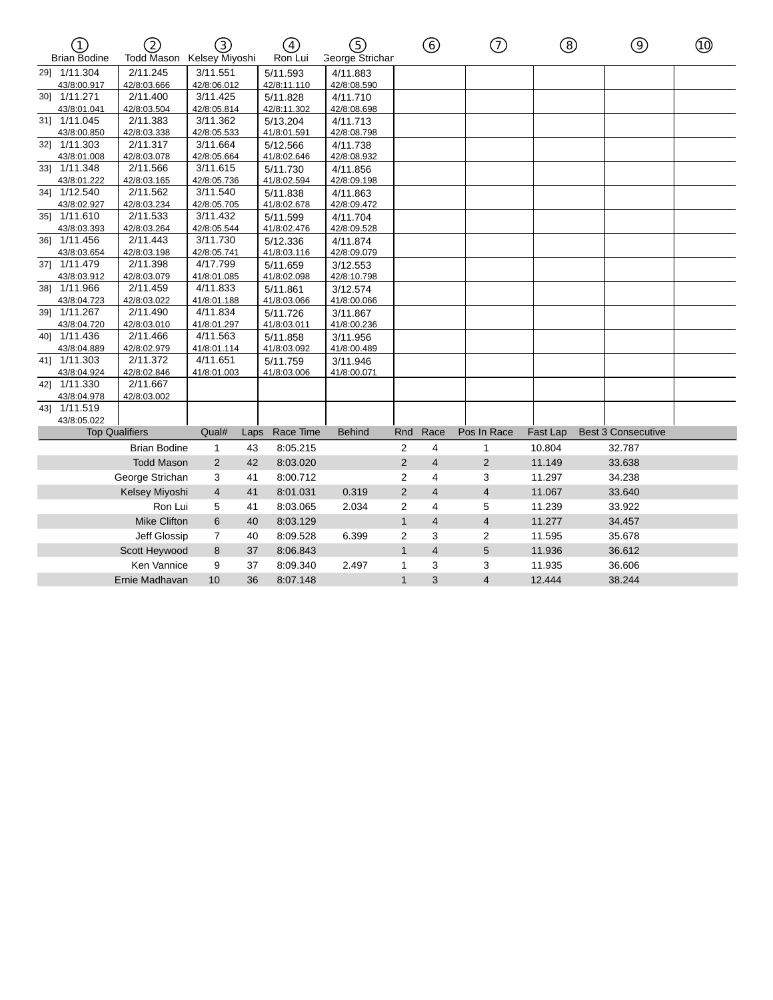| $\mathcal{T}$<br><b>Brian Bodine</b> | 2<br>Todd Mason Kelsey Miyoshi | 3)             |      | $\left( \overline{4}\right)$<br>Ron Lui | (5)<br><b>George Strichar</b> |                | ⑥              | ⑦              | ⑧        | ⊚                         | ⑩ |
|--------------------------------------|--------------------------------|----------------|------|-----------------------------------------|-------------------------------|----------------|----------------|----------------|----------|---------------------------|---|
| 291 1/11.304                         | 2/11.245                       | 3/11.551       |      | 5/11.593                                | 4/11.883                      |                |                |                |          |                           |   |
| 43/8:00.917                          | 42/8:03.666                    | 42/8:06.012    |      | 42/8:11.110                             | 42/8:08.590                   |                |                |                |          |                           |   |
| 30] 1/11.271                         | 2/11.400                       | 3/11.425       |      | 5/11.828                                | 4/11.710                      |                |                |                |          |                           |   |
| 43/8:01.041                          | 42/8:03.504                    | 42/8:05.814    |      | 42/8:11.302                             | 42/8:08.698                   |                |                |                |          |                           |   |
| 31] 1/11.045                         | 2/11.383                       | 3/11.362       |      | 5/13.204                                | 4/11.713                      |                |                |                |          |                           |   |
| 43/8:00.850                          | 42/8:03.338                    | 42/8:05.533    |      | 41/8:01.591                             | 42/8:08.798                   |                |                |                |          |                           |   |
| 321 1/11.303                         | 2/11.317                       | 3/11.664       |      | 5/12.566                                | 4/11.738                      |                |                |                |          |                           |   |
| 43/8:01.008                          | 42/8:03.078                    | 42/8:05.664    |      | 41/8:02.646                             | 42/8:08.932                   |                |                |                |          |                           |   |
| 33] 1/11.348                         | 2/11.566                       | 3/11.615       |      | 5/11.730                                | 4/11.856                      |                |                |                |          |                           |   |
| 43/8:01.222                          | 42/8:03.165                    | 42/8:05.736    |      | 41/8:02.594                             | 42/8:09.198                   |                |                |                |          |                           |   |
| 34] 1/12.540                         | 2/11.562                       | 3/11.540       |      | 5/11.838                                | 4/11.863                      |                |                |                |          |                           |   |
| 43/8:02.927                          | 42/8:03.234                    | 42/8:05.705    |      | 41/8:02.678                             | 42/8:09.472                   |                |                |                |          |                           |   |
| 35] 1/11.610                         | 2/11.533                       | 3/11.432       |      | 5/11.599                                | 4/11.704                      |                |                |                |          |                           |   |
| 43/8:03.393                          | 42/8:03.264                    | 42/8:05.544    |      | 41/8:02.476                             | 42/8:09.528                   |                |                |                |          |                           |   |
| 36] 1/11.456                         | 2/11.443                       | 3/11.730       |      | 5/12.336                                | 4/11.874                      |                |                |                |          |                           |   |
| 43/8:03.654                          | 42/8:03.198                    | 42/8:05.741    |      | 41/8:03.116                             | 42/8:09.079                   |                |                |                |          |                           |   |
| 371 1/11.479                         | 2/11.398                       | 4/17.799       |      | 5/11.659                                | 3/12.553                      |                |                |                |          |                           |   |
| 43/8:03.912                          | 42/8:03.079                    | 41/8:01.085    |      | 41/8:02.098                             | 42/8:10.798                   |                |                |                |          |                           |   |
| 381 1/11.966                         | 2/11.459                       | 4/11.833       |      | 5/11.861                                | 3/12.574                      |                |                |                |          |                           |   |
| 43/8:04.723                          | 42/8:03.022                    | 41/8:01.188    |      | 41/8:03.066                             | 41/8:00.066                   |                |                |                |          |                           |   |
| 39] 1/11.267                         | 2/11.490                       | 4/11.834       |      | 5/11.726                                | 3/11.867                      |                |                |                |          |                           |   |
| 43/8:04.720                          | 42/8:03.010                    | 41/8:01.297    |      | 41/8:03.011                             | 41/8:00.236                   |                |                |                |          |                           |   |
| 40] 1/11.436                         | 2/11.466                       | 4/11.563       |      | 5/11.858                                | 3/11.956                      |                |                |                |          |                           |   |
| 43/8:04.889                          | 42/8:02.979                    | 41/8:01.114    |      | 41/8:03.092                             | 41/8:00.489                   |                |                |                |          |                           |   |
| 41] 1/11.303                         | 2/11.372                       | 4/11.651       |      | 5/11.759                                | 3/11.946                      |                |                |                |          |                           |   |
| 43/8:04.924                          | 42/8:02.846                    | 41/8:01.003    |      | 41/8:03.006                             | 41/8:00.071                   |                |                |                |          |                           |   |
| 42] 1/11.330                         | 2/11.667                       |                |      |                                         |                               |                |                |                |          |                           |   |
| 43/8:04.978                          | 42/8:03.002                    |                |      |                                         |                               |                |                |                |          |                           |   |
| 43] 1/11.519                         |                                |                |      |                                         |                               |                |                |                |          |                           |   |
| 43/8:05.022                          |                                |                |      |                                         |                               |                |                |                |          |                           |   |
|                                      | <b>Top Qualifiers</b>          | Qual#          | Laps | Race Time                               | <b>Behind</b>                 | Rnd            | Race           | Pos In Race    | Fast Lap | <b>Best 3 Consecutive</b> |   |
|                                      | <b>Brian Bodine</b>            | $\mathbf{1}$   | 43   | 8:05.215                                |                               | $\overline{2}$ | $\overline{4}$ | $\mathbf{1}$   | 10.804   | 32.787                    |   |
|                                      | <b>Todd Mason</b>              | $\overline{2}$ | 42   | 8:03.020                                |                               | $\overline{2}$ | $\overline{4}$ | 2              | 11.149   | 33.638                    |   |
|                                      | George Strichan                | 3              | 41   | 8:00.712                                |                               | $\overline{2}$ | $\overline{4}$ | 3              | 11.297   | 34.238                    |   |
|                                      | Kelsey Miyoshi                 | $\overline{4}$ | 41   | 8:01.031                                | 0.319                         | $\overline{2}$ | $\overline{4}$ | $\overline{4}$ | 11.067   | 33.640                    |   |
|                                      | Ron Lui                        | 5              | 41   | 8:03.065                                | 2.034                         | 2              | $\overline{4}$ | 5              | 11.239   | 33.922                    |   |
|                                      | <b>Mike Clifton</b>            | 6              | 40   | 8:03.129                                |                               | $\mathbf{1}$   | $\overline{4}$ | $\overline{4}$ | 11.277   | 34.457                    |   |
|                                      | Jeff Glossip                   | $\overline{7}$ | 40   | 8:09.528                                | 6.399                         | 2              | 3              | $\overline{2}$ | 11.595   | 35.678                    |   |
|                                      | Scott Heywood                  | 8              | 37   | 8:06.843                                |                               | $\mathbf{1}$   | $\overline{4}$ | 5              | 11.936   | 36.612                    |   |
|                                      | Ken Vannice                    | 9              | 37   | 8:09.340                                | 2.497                         | 1              | 3              | 3              | 11.935   | 36.606                    |   |
|                                      | Ernie Madhavan                 | 10             | 36   | 8:07.148                                |                               | $\mathbf{1}$   | 3              | $\overline{4}$ | 12.444   | 38.244                    |   |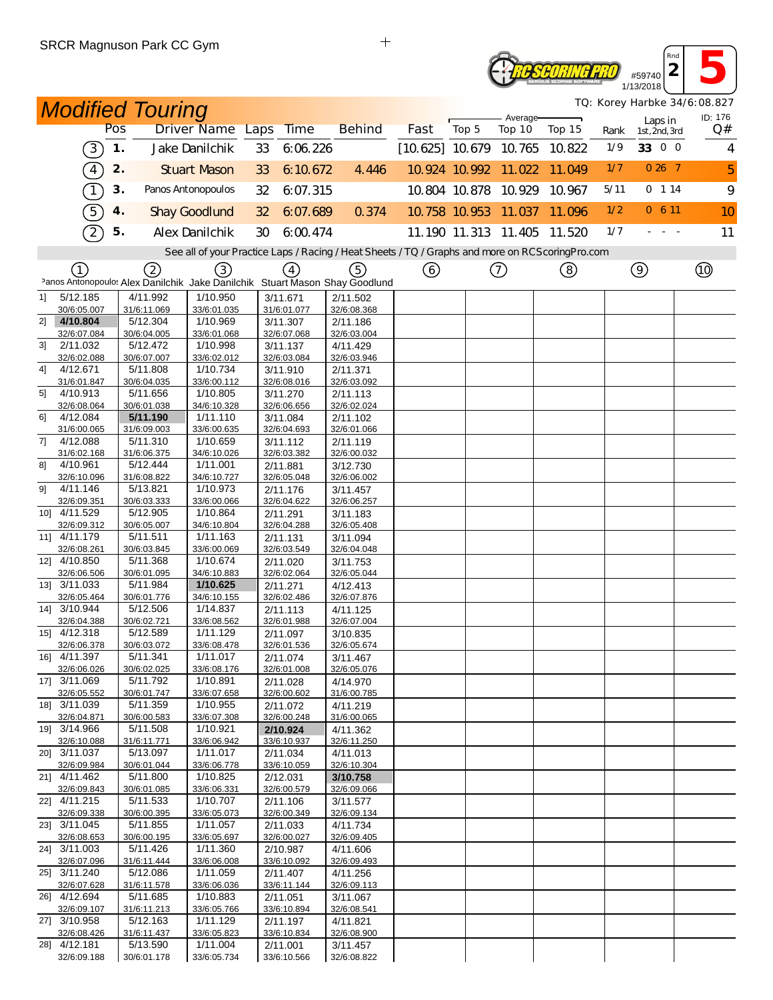## **2 13**<br> **2 13**<br> **13**<br> **2018** *Reseoring Pro* 1/13/2018

*TQ: Korey Harbke 34/6:08.827*

*Rnd*

|    |                             |     | <b>Modified Touring</b>                                                          |                                                                                                   |    |                         |                         |                          |                      | Average-             |                             |      |                          | TQ: Korey Harbke 34/6:08.827<br>ID: 176 |
|----|-----------------------------|-----|----------------------------------------------------------------------------------|---------------------------------------------------------------------------------------------------|----|-------------------------|-------------------------|--------------------------|----------------------|----------------------|-----------------------------|------|--------------------------|-----------------------------------------|
|    |                             | Pos |                                                                                  | Driver Name Laps                                                                                  |    | <b>Time</b>             | <b>Behind</b>           | Fast                     | Top 5                | Top 10               | Top 15                      | Rank | Laps in<br>1st, 2nd, 3rd | Q#                                      |
|    | 3)                          | 1.  |                                                                                  | Jake Danilchik                                                                                    | 33 | 6.06.226                |                         | $[10.625]$ 10.679 10.765 |                      |                      | 10.822                      | 1/9  | 33 0 0                   | $\overline{4}$                          |
|    | $\boxed{4}$                 | 2.  |                                                                                  | <b>Stuart Mason</b>                                                                               | 33 | 6:10.672                | 4.446                   |                          |                      | 10.924 10.992 11.022 | 11.049                      | 1/7  | $026$ 7                  | 5                                       |
|    | $\tau$                      | 3.  |                                                                                  | Panos Antonopoulos                                                                                | 32 | 6:07.315                |                         |                          |                      | 10.804 10.878 10.929 | 10.967                      | 5/11 | 0 114                    | 9                                       |
|    | $\boxed{5}$                 | 4.  |                                                                                  | <b>Shay Goodlund</b>                                                                              | 32 | 6:07.689                | 0.374                   |                          | 10.758 10.953 11.037 |                      | 11.096                      | 1/2  | 0, 6, 11                 | 10                                      |
|    | $\widehat{2}$               | 5.  |                                                                                  | Alex Danilchik                                                                                    | 30 | 6:00.474                |                         |                          |                      |                      | 11.190 11.313 11.405 11.520 | 1/7  |                          | 11                                      |
|    |                             |     |                                                                                  | See all of your Practice Laps / Racing / Heat Sheets / TQ / Graphs and more on RCS coring Pro.com |    |                         |                         |                          |                      |                      |                             |      |                          |                                         |
|    | (1)                         |     | 2<br>Panos Antonopoulos Alex Danilchik Jake Danilchik Stuart Mason Shay Goodlund | (3)                                                                                               |    | $\left(4\right)$        | ි)                      | ⊙                        |                      | ➀                    | ③                           |      | $\circledcirc$           | $^{\circledR}$                          |
| 1] | 5/12.185                    |     | 4/11.992                                                                         | 1/10.950                                                                                          |    | 3/11.671                | 2/11.502                |                          |                      |                      |                             |      |                          |                                         |
|    | 30/6:05.007                 |     | 31/6:11.069                                                                      | 33/6:01.035                                                                                       |    | 31/6:01.077             | 32/6:08.368             |                          |                      |                      |                             |      |                          |                                         |
| 2] | 4/10.804<br>32/6:07.084     |     | 5/12.304<br>30/6:04.005                                                          | 1/10.969<br>33/6:01.068                                                                           |    | 3/11.307<br>32/6:07.068 | 2/11.186<br>32/6:03.004 |                          |                      |                      |                             |      |                          |                                         |
| 31 | 2/11.032                    |     | 5/12.472                                                                         | 1/10.998                                                                                          |    | 3/11.137                | 4/11.429                |                          |                      |                      |                             |      |                          |                                         |
|    | 32/6:02.088                 |     | 30/6:07.007                                                                      | 33/6:02.012                                                                                       |    | 32/6:03.084             | 32/6:03.946             |                          |                      |                      |                             |      |                          |                                         |
| 4] | 4/12.671<br>31/6:01.847     |     | 5/11.808<br>30/6:04.035                                                          | 1/10.734<br>33/6:00.112                                                                           |    | 3/11.910<br>32/6:08.016 | 2/11.371<br>32/6:03.092 |                          |                      |                      |                             |      |                          |                                         |
| 5  | 4/10.913                    |     | 5/11.656                                                                         | 1/10.805                                                                                          |    | 3/11.270                | 2/11.113                |                          |                      |                      |                             |      |                          |                                         |
|    | 32/6:08.064                 |     | 30/6:01.038                                                                      | 34/6:10.328                                                                                       |    | 32/6:06.656             | 32/6:02.024             |                          |                      |                      |                             |      |                          |                                         |
| 61 | 4/12.084                    |     | 5/11.190                                                                         | 1/11.110                                                                                          |    | 3/11.084                | 2/11.102                |                          |                      |                      |                             |      |                          |                                         |
| 7] | 31/6:00.065<br>4/12.088     |     | 31/6:09.003<br>5/11.310                                                          | 33/6:00.635<br>1/10.659                                                                           |    | 32/6:04.693<br>3/11.112 | 32/6:01.066<br>2/11.119 |                          |                      |                      |                             |      |                          |                                         |
|    | 31/6:02.168                 |     | 31/6:06.375                                                                      | 34/6:10.026                                                                                       |    | 32/6:03.382             | 32/6:00.032             |                          |                      |                      |                             |      |                          |                                         |
| 81 | 4/10.961                    |     | 5/12.444                                                                         | 1/11.001                                                                                          |    | 2/11.881                | 3/12.730                |                          |                      |                      |                             |      |                          |                                         |
|    | 32/6:10.096                 |     | 31/6:08.822                                                                      | 34/6:10.727                                                                                       |    | 32/6:05.048             | 32/6:06.002             |                          |                      |                      |                             |      |                          |                                         |
| 91 | 4/11.146<br>32/6:09.351     |     | 5/13.821<br>30/6:03.333                                                          | 1/10.973<br>33/6:00.066                                                                           |    | 2/11.176<br>32/6:04.622 | 3/11.457<br>32/6:06.257 |                          |                      |                      |                             |      |                          |                                         |
|    | 10] 4/11.529                |     | 5/12.905                                                                         | 1/10.864                                                                                          |    | 2/11.291                | 3/11.183                |                          |                      |                      |                             |      |                          |                                         |
|    | 32/6:09.312                 |     | 30/6:05.007                                                                      | 34/6:10.804                                                                                       |    | 32/6:04.288             | 32/6:05.408             |                          |                      |                      |                             |      |                          |                                         |
|    | 11] 4/11.179                |     | 5/11.511                                                                         | 1/11.163                                                                                          |    | 2/11.131                | 3/11.094                |                          |                      |                      |                             |      |                          |                                         |
|    | 32/6:08.261<br>12] 4/10.850 |     | 30/6:03.845<br>5/11.368                                                          | 33/6:00.069<br>1/10.674                                                                           |    | 32/6:03.549<br>2/11.020 | 32/6:04.048<br>3/11.753 |                          |                      |                      |                             |      |                          |                                         |
|    | 32/6:06.506                 |     | 30/6:01.095                                                                      | 34/6:10.883                                                                                       |    | 32/6:02.064             | 32/6:05.044             |                          |                      |                      |                             |      |                          |                                         |
|    | 13] 3/11.033                |     | 5/11.984                                                                         | 1/10.625                                                                                          |    | 2/11.271                | 4/12.413                |                          |                      |                      |                             |      |                          |                                         |
|    | 32/6:05.464                 |     | 30/6:01.776                                                                      | 34/6:10.155                                                                                       |    | 32/6:02.486             | 32/6:07.876             |                          |                      |                      |                             |      |                          |                                         |
|    | 14] 3/10.944<br>32/6:04.388 |     | 5/12.506<br>30/6:02.721                                                          | 1/14.837<br>33/6:08.562                                                                           |    | 2/11.113<br>32/6:01.988 | 4/11.125<br>32/6:07.004 |                          |                      |                      |                             |      |                          |                                         |
|    | 15] 4/12.318                |     | 5/12.589                                                                         | 1/11.129                                                                                          |    | 2/11.097                | 3/10.835                |                          |                      |                      |                             |      |                          |                                         |
|    | 32/6:06.378                 |     | 30/6:03.072                                                                      | 33/6:08.478                                                                                       |    | 32/6:01.536             | 32/6:05.674             |                          |                      |                      |                             |      |                          |                                         |
|    | 16] 4/11.397                |     | 5/11.341                                                                         | 1/11.017                                                                                          |    | 2/11.074                | 3/11.467                |                          |                      |                      |                             |      |                          |                                         |
|    | 32/6:06.026<br>17] 3/11.069 |     | 30/6:02.025<br>5/11.792                                                          | 33/6:08.176<br>1/10.891                                                                           |    | 32/6:01.008<br>2/11.028 | 32/6:05.076<br>4/14.970 |                          |                      |                      |                             |      |                          |                                         |
|    | 32/6:05.552                 |     | 30/6:01.747                                                                      | 33/6:07.658                                                                                       |    | 32/6:00.602             | 31/6:00.785             |                          |                      |                      |                             |      |                          |                                         |
|    | 18] 3/11.039                |     | 5/11.359                                                                         | 1/10.955                                                                                          |    | 2/11.072                | 4/11.219                |                          |                      |                      |                             |      |                          |                                         |
|    | 32/6:04.871                 |     | 30/6:00.583                                                                      | 33/6:07.308                                                                                       |    | 32/6:00.248             | 31/6:00.065             |                          |                      |                      |                             |      |                          |                                         |
|    | 19] 3/14.966<br>32/6:10.088 |     | 5/11.508<br>31/6:11.771                                                          | 1/10.921<br>33/6:06.942                                                                           |    | 2/10.924<br>33/6:10.937 | 4/11.362<br>32/6:11.250 |                          |                      |                      |                             |      |                          |                                         |
|    | 20] 3/11.037                |     | 5/13.097                                                                         | 1/11.017                                                                                          |    | 2/11.034                | 4/11.013                |                          |                      |                      |                             |      |                          |                                         |
|    | 32/6:09.984                 |     | 30/6:01.044                                                                      | 33/6:06.778                                                                                       |    | 33/6:10.059             | 32/6:10.304             |                          |                      |                      |                             |      |                          |                                         |
|    | 21] 4/11.462                |     | 5/11.800                                                                         | 1/10.825                                                                                          |    | 2/12.031                | 3/10.758                |                          |                      |                      |                             |      |                          |                                         |
|    | 32/6:09.843<br>22] 4/11.215 |     | 30/6:01.085<br>5/11.533                                                          | 33/6:06.331<br>1/10.707                                                                           |    | 32/6:00.579<br>2/11.106 | 32/6:09.066<br>3/11.577 |                          |                      |                      |                             |      |                          |                                         |
|    | 32/6:09.338                 |     | 30/6:00.395                                                                      | 33/6:05.073                                                                                       |    | 32/6:00.349             | 32/6:09.134             |                          |                      |                      |                             |      |                          |                                         |
|    | 23] 3/11.045                |     | 5/11.855                                                                         | 1/11.057                                                                                          |    | 2/11.033                | 4/11.734                |                          |                      |                      |                             |      |                          |                                         |
|    | 32/6:08.653                 |     | 30/6:00.195                                                                      | 33/6:05.697                                                                                       |    | 32/6:00.027             | 32/6:09.405             |                          |                      |                      |                             |      |                          |                                         |
|    | 24] 3/11.003<br>32/6:07.096 |     | 5/11.426<br>31/6:11.444                                                          | 1/11.360<br>33/6:06.008                                                                           |    | 2/10.987<br>33/6:10.092 | 4/11.606<br>32/6:09.493 |                          |                      |                      |                             |      |                          |                                         |
|    | 25] 3/11.240                |     | 5/12.086                                                                         | 1/11.059                                                                                          |    | 2/11.407                | 4/11.256                |                          |                      |                      |                             |      |                          |                                         |
|    | 32/6:07.628                 |     | 31/6:11.578                                                                      | 33/6:06.036                                                                                       |    | 33/6:11.144             | 32/6:09.113             |                          |                      |                      |                             |      |                          |                                         |
|    | 26] 4/12.694                |     | 5/11.685                                                                         | 1/10.883                                                                                          |    | 2/11.051                | 3/11.067                |                          |                      |                      |                             |      |                          |                                         |
|    | 32/6:09.107<br>27] 3/10.958 |     | 31/6:11.213<br>5/12.163                                                          | 33/6:05.766<br>1/11.129                                                                           |    | 33/6:10.894<br>2/11.197 | 32/6:08.541<br>4/11.821 |                          |                      |                      |                             |      |                          |                                         |
|    | 32/6:08.426                 |     | 31/6:11.437                                                                      | 33/6:05.823                                                                                       |    | 33/6:10.834             | 32/6:08.900             |                          |                      |                      |                             |      |                          |                                         |
|    | 28] 4/12.181                |     | 5/13.590                                                                         | 1/11.004                                                                                          |    | 2/11.001                | 3/11.457                |                          |                      |                      |                             |      |                          |                                         |
|    | 32/6:09.188                 |     | 30/6:01.178                                                                      | 33/6:05.734                                                                                       |    | 33/6:10.566             | 32/6:08.822             |                          |                      |                      |                             |      |                          |                                         |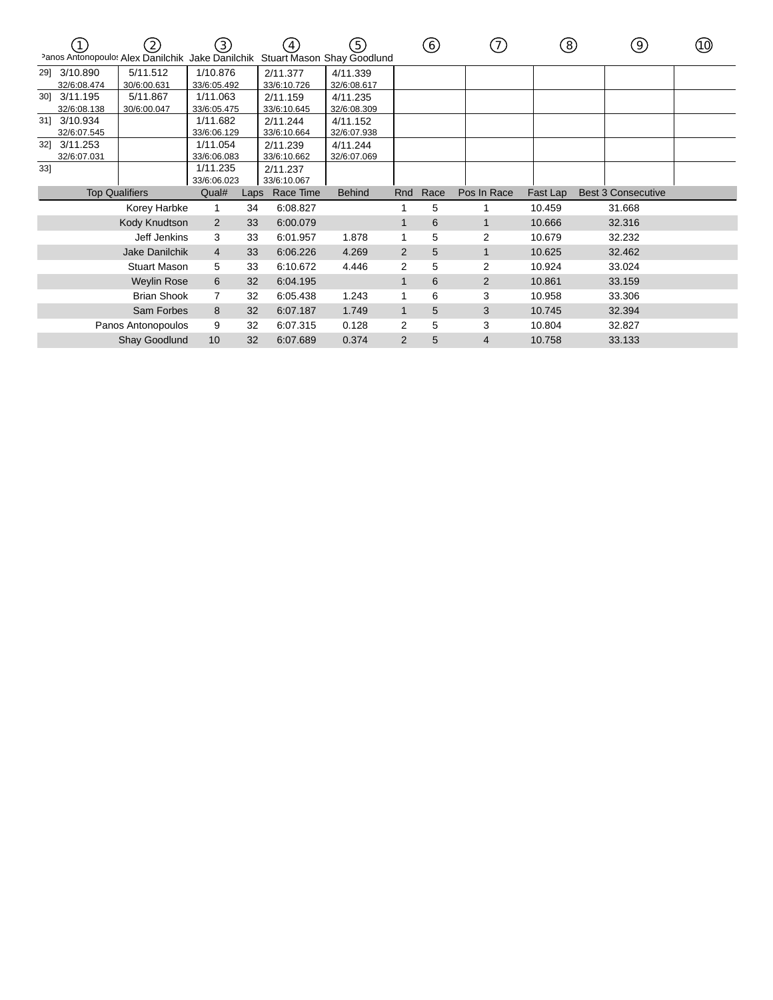|     |                       | $\left( 2\right)$<br>Panos Antonopoulos Alex Danilchik | (3)<br>Jake Danilchik |      | $\mathcal{A}_{\mathcal{A}}$<br>Stuart Mason Shay Goodlund | (5)           |                | (6)  | (7)            | (8)      | (9)                       | ଏ) |
|-----|-----------------------|--------------------------------------------------------|-----------------------|------|-----------------------------------------------------------|---------------|----------------|------|----------------|----------|---------------------------|----|
| 29] | 3/10.890              | 5/11.512                                               | 1/10.876              |      | 2/11.377                                                  | 4/11.339      |                |      |                |          |                           |    |
|     | 32/6:08.474           | 30/6:00.631                                            | 33/6:05.492           |      | 33/6:10.726                                               | 32/6:08.617   |                |      |                |          |                           |    |
| 301 | 3/11.195              | 5/11.867                                               | 1/11.063              |      | 2/11.159                                                  | 4/11.235      |                |      |                |          |                           |    |
|     | 32/6:08.138           | 30/6:00.047                                            | 33/6:05.475           |      | 33/6:10.645                                               | 32/6:08.309   |                |      |                |          |                           |    |
|     | 31] 3/10.934          |                                                        | 1/11.682              |      | 2/11.244                                                  | 4/11.152      |                |      |                |          |                           |    |
|     | 32/6:07.545           |                                                        | 33/6:06.129           |      | 33/6:10.664                                               | 32/6:07.938   |                |      |                |          |                           |    |
| 32] | 3/11.253              |                                                        | 1/11.054              |      | 2/11.239                                                  | 4/11.244      |                |      |                |          |                           |    |
|     | 32/6:07.031           |                                                        | 33/6:06.083           |      | 33/6:10.662                                               | 32/6:07.069   |                |      |                |          |                           |    |
| 33] |                       |                                                        | 1/11.235              |      | 2/11.237                                                  |               |                |      |                |          |                           |    |
|     |                       |                                                        | 33/6:06.023           |      | 33/6:10.067                                               |               |                |      |                |          |                           |    |
|     | <b>Top Qualifiers</b> |                                                        | Qual#                 | Laps | Race Time                                                 | <b>Behind</b> | Rnd            | Race | Pos In Race    | Fast Lap | <b>Best 3 Consecutive</b> |    |
|     |                       | Korey Harbke                                           |                       | 34   | 6:08.827                                                  |               |                | 5    |                | 10.459   | 31.668                    |    |
|     |                       | Kody Knudtson                                          | 2                     | 33   | 6:00.079                                                  |               |                | 6    | $\mathbf{1}$   | 10.666   | 32.316                    |    |
|     |                       | Jeff Jenkins                                           | 3                     | 33   | 6:01.957                                                  | 1.878         |                | 5    | 2              | 10.679   | 32.232                    |    |
|     |                       | Jake Danilchik                                         | 4                     | 33   | 6:06.226                                                  | 4.269         | 2              | 5    | $\mathbf{1}$   | 10.625   | 32.462                    |    |
|     |                       | <b>Stuart Mason</b>                                    | 5                     | 33   | 6:10.672                                                  | 4.446         | 2              | 5    | 2              | 10.924   | 33.024                    |    |
|     |                       | <b>Weylin Rose</b>                                     | 6                     | 32   | 6:04.195                                                  |               |                | 6    | $\overline{2}$ | 10.861   | 33.159                    |    |
|     |                       | <b>Brian Shook</b>                                     | 7                     | 32   | 6:05.438                                                  | 1.243         |                | 6    | 3              | 10.958   | 33.306                    |    |
|     |                       | Sam Forbes                                             | 8                     | 32   | 6:07.187                                                  | 1.749         | $\mathbf 1$    | 5    | 3              | 10.745   | 32.394                    |    |
|     |                       | Panos Antonopoulos                                     | 9                     | 32   | 6:07.315                                                  | 0.128         | 2              | 5    | 3              | 10.804   | 32.827                    |    |
|     |                       | Shay Goodlund                                          | 10                    | 32   | 6:07.689                                                  | 0.374         | $\overline{2}$ | 5    | 4              | 10.758   | 33.133                    |    |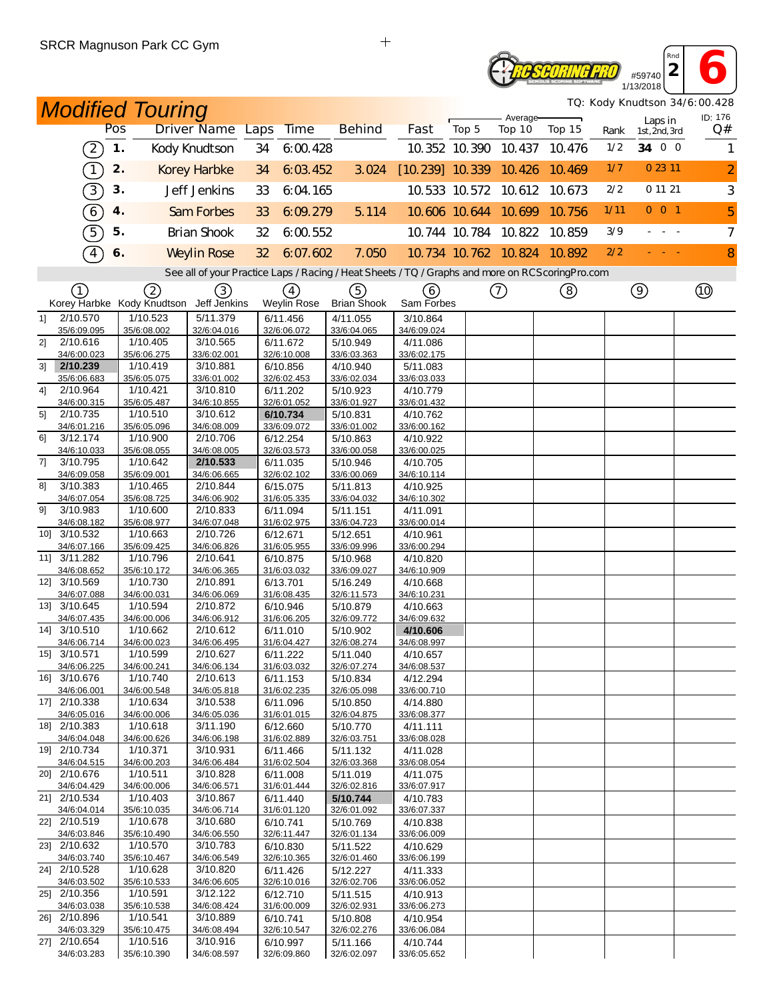# **2 6**<br> **2 6**<br> **2 6**<br> **13/2018 TE SCORING PRO**

1/13/2018 *TQ: Kody Knudtson 34/6:00.428*

*Rnd*

|                |                                                           |               | <b>Modified Touring</b> |                                                                                                   |                 |                         |                         |                          |       | Average-             |                             |      |                |                          | TQ: Kody Knudtson 34/6:00.428<br>ID: 176 |
|----------------|-----------------------------------------------------------|---------------|-------------------------|---------------------------------------------------------------------------------------------------|-----------------|-------------------------|-------------------------|--------------------------|-------|----------------------|-----------------------------|------|----------------|--------------------------|------------------------------------------|
|                |                                                           | Pos           |                         | Driver Name Laps                                                                                  |                 | Time                    | <b>Behind</b>           | Fast                     | Top 5 | Top 10               | Top 15                      | Rank |                | Laps in<br>1st, 2nd, 3rd | Q#                                       |
|                | $\mathcal{Z}% _{M_{1},M_{2}}^{\alpha,\beta}(\varepsilon)$ | $\mathbf 1$ . |                         | Kody Knudtson                                                                                     | 34              | 6:00.428                |                         |                          |       | 10.352 10.390 10.437 | 10.476                      | 1/2  |                | 34 0 0                   | 1                                        |
|                | $\left( \begin{matrix} 1 \end{matrix} \right)$            | 2.            |                         | <b>Korey Harbke</b>                                                                               | 34              | 6:03.452                | 3.024                   | $[10.239]$ 10.339 10.426 |       |                      | 10.469                      | 1/7  |                | 0 23 11                  | $\overline{a}$                           |
|                | $\boxed{3}$                                               | 3.            |                         | Jeff Jenkins                                                                                      | 33              | 6:04.165                |                         |                          |       | 10.533 10.572 10.612 | 10.673                      | 2/2  |                | 0 11 21                  | 3                                        |
|                | $\left( 6\right)$                                         | 4.            |                         | Sam Forbes                                                                                        | 33              | 6:09.279                | 5.114                   |                          |       | 10.606 10.644 10.699 | 10.756                      | 1/11 |                | $0$ 0 1                  | 5                                        |
|                | 5                                                         | 5.            |                         | <b>Brian Shook</b>                                                                                | 32              | 6.00.552                |                         |                          |       | 10.744 10.784 10.822 | 10.859                      | 3/9  |                | $\sim$ $ \sim$ $-$       | $\overline{7}$                           |
|                | $\boxed{4}$                                               | 6.            |                         | <b>Weylin Rose</b>                                                                                | 32 <sup>2</sup> | 6:07.602                | 7.050                   |                          |       |                      | 10.734 10.762 10.824 10.892 | 2/2  |                |                          | 8                                        |
|                |                                                           |               |                         | See all of your Practice Laps / Racing / Heat Sheets / TQ / Graphs and more on RCS coring Pro.com |                 |                         |                         |                          |       |                      |                             |      |                |                          |                                          |
|                | (1)                                                       |               | 2                       | $\circled{3}$                                                                                     |                 | (4)                     | (5)                     | 6)                       |       | (7)                  | (8)                         |      | $\circledcirc$ |                          | Q)                                       |
|                | Korey Harbke                                              |               | Kody Knudtson           | Jeff Jenkins                                                                                      |                 | Weylin Rose             | <b>Brian Shook</b>      | Sam Forbes               |       |                      |                             |      |                |                          |                                          |
| 11             | 2/10.570<br>35/6:09.095                                   |               | 1/10.523<br>35/6:08.002 | 5/11.379<br>32/6:04.016                                                                           |                 | 6/11.456<br>32/6:06.072 | 4/11.055<br>33/6:04.065 | 3/10.864<br>34/6:09.024  |       |                      |                             |      |                |                          |                                          |
| 2]             | 2/10.616                                                  |               | 1/10.405                | 3/10.565                                                                                          |                 | 6/11.672                | 5/10.949                | 4/11.086                 |       |                      |                             |      |                |                          |                                          |
|                | 34/6:00.023                                               |               | 35/6:06.275             | 33/6:02.001                                                                                       |                 | 32/6:10.008             | 33/6:03.363             | 33/6:02.175              |       |                      |                             |      |                |                          |                                          |
| 3 <sup>1</sup> | 2/10.239                                                  |               | 1/10.419                | 3/10.881                                                                                          |                 | 6/10.856                | 4/10.940                | 5/11.083                 |       |                      |                             |      |                |                          |                                          |
|                | 35/6:06.683                                               |               | 35/6:05.075             | 33/6:01.002                                                                                       |                 | 32/6:02.453             | 33/6:02.034             | 33/6:03.033              |       |                      |                             |      |                |                          |                                          |
| 4]             | 2/10.964                                                  |               | 1/10.421                | 3/10.810                                                                                          |                 | 6/11.202                | 5/10.923                | 4/10.779                 |       |                      |                             |      |                |                          |                                          |
| 5]             | 34/6:00.315<br>2/10.735                                   |               | 35/6:05.487<br>1/10.510 | 34/6:10.855<br>3/10.612                                                                           |                 | 32/6:01.052<br>6/10.734 | 33/6:01.927             | 33/6:01.432              |       |                      |                             |      |                |                          |                                          |
|                | 34/6:01.216                                               |               | 35/6:05.096             | 34/6:08.009                                                                                       |                 | 33/6:09.072             | 5/10.831<br>33/6:01.002 | 4/10.762<br>33/6:00.162  |       |                      |                             |      |                |                          |                                          |
| 61             | 3/12.174                                                  |               | 1/10.900                | 2/10.706                                                                                          |                 | 6/12.254                | 5/10.863                | 4/10.922                 |       |                      |                             |      |                |                          |                                          |
|                | 34/6:10.033                                               |               | 35/6:08.055             | 34/6:08.005                                                                                       |                 | 32/6:03.573             | 33/6:00.058             | 33/6:00.025              |       |                      |                             |      |                |                          |                                          |
| 7]             | 3/10.795                                                  |               | 1/10.642                | 2/10.533                                                                                          |                 | 6/11.035                | 5/10.946                | 4/10.705                 |       |                      |                             |      |                |                          |                                          |
|                | 34/6:09.058                                               |               | 35/6:09.001             | 34/6:06.665                                                                                       |                 | 32/6:02.102             | 33/6:00.069             | 34/6:10.114              |       |                      |                             |      |                |                          |                                          |
| 81             | 3/10.383                                                  |               | 1/10.465                | 2/10.844                                                                                          |                 | 6/15.075                | 5/11.813                | 4/10.925                 |       |                      |                             |      |                |                          |                                          |
| 91             | 34/6:07.054<br>3/10.983                                   |               | 35/6:08.725<br>1/10.600 | 34/6:06.902<br>2/10.833                                                                           |                 | 31/6:05.335<br>6/11.094 | 33/6:04.032<br>5/11.151 | 34/6:10.302<br>4/11.091  |       |                      |                             |      |                |                          |                                          |
|                | 34/6:08.182                                               |               | 35/6:08.977             | 34/6:07.048                                                                                       |                 | 31/6:02.975             | 33/6:04.723             | 33/6:00.014              |       |                      |                             |      |                |                          |                                          |
|                | 10] 3/10.532                                              |               | 1/10.663                | 2/10.726                                                                                          |                 | 6/12.671                | 5/12.651                | 4/10.961                 |       |                      |                             |      |                |                          |                                          |
|                | 34/6:07.166                                               |               | 35/6:09.425             | 34/6:06.826                                                                                       |                 | 31/6:05.955             | 33/6:09.996             | 33/6:00.294              |       |                      |                             |      |                |                          |                                          |
|                | 11] 3/11.282                                              |               | 1/10.796                | 2/10.641                                                                                          |                 | 6/10.875                | 5/10.968                | 4/10.820                 |       |                      |                             |      |                |                          |                                          |
|                | 34/6:08.652                                               |               | 35/6:10.172             | 34/6:06.365                                                                                       |                 | 31/6:03.032             | 33/6:09.027             | 34/6:10.909              |       |                      |                             |      |                |                          |                                          |
|                | 12] 3/10.569<br>34/6:07.088                               |               | 1/10.730<br>34/6:00.031 | 2/10.891<br>34/6:06.069                                                                           |                 | 6/13.701<br>31/6:08.435 | 5/16.249<br>32/6:11.573 | 4/10.668<br>34/6:10.231  |       |                      |                             |      |                |                          |                                          |
|                | 13] 3/10.645                                              |               | 1/10.594                | 2/10.872                                                                                          |                 | 6/10.946                | 5/10.879                | 4/10.663                 |       |                      |                             |      |                |                          |                                          |
|                | 34/6:07.435                                               |               | 34/6:00.006             | 34/6:06.912                                                                                       |                 | 31/6:06.205             | 32/6:09.772             | 34/6:09.632              |       |                      |                             |      |                |                          |                                          |
|                | 14] 3/10.510                                              |               | 1/10.662                | 2/10.612                                                                                          |                 | 6/11.010                | 5/10.902                | 4/10.606                 |       |                      |                             |      |                |                          |                                          |
|                | 34/6:06.714                                               |               | 34/6:00.023             | 34/6:06.495                                                                                       |                 | 31/6:04.427             | 32/6:08.274             | 34/6:08.997              |       |                      |                             |      |                |                          |                                          |
|                | 15] 3/10.571<br>34/6:06 225                               |               | 1/10.599<br>34/6:00 241 | 2/10.627<br>$34/6.06$ 134                                                                         |                 | 6/11.222<br>31/6.0303   | 5/11.040                | 4/10.657                 |       |                      |                             |      |                |                          |                                          |
|                | 16] 3/10.676                                              |               | 1/10.740                | 2/10.613                                                                                          |                 | 6/11.153                | 32/6:07.274<br>5/10.834 | 34/6:08.537<br>4/12.294  |       |                      |                             |      |                |                          |                                          |
|                | 34/6:06.001                                               |               | 34/6:00.548             | 34/6:05.818                                                                                       |                 | 31/6:02.235             | 32/6:05.098             | 33/6:00.710              |       |                      |                             |      |                |                          |                                          |
|                | 17] 2/10.338                                              |               | 1/10.634                | 3/10.538                                                                                          |                 | 6/11.096                | 5/10.850                | 4/14.880                 |       |                      |                             |      |                |                          |                                          |
|                | 34/6:05.016                                               |               | 34/6:00.006             | 34/6:05.036                                                                                       |                 | 31/6:01.015             | 32/6:04.875             | 33/6:08.377              |       |                      |                             |      |                |                          |                                          |
|                | 18] 2/10.383                                              |               | 1/10.618                | 3/11.190                                                                                          |                 | 6/12.660                | 5/10.770                | 4/11.111                 |       |                      |                             |      |                |                          |                                          |
|                | 34/6:04.048<br>19] 2/10.734                               |               | 34/6:00.626<br>1/10.371 | 34/6:06.198<br>3/10.931                                                                           |                 | 31/6:02.889<br>6/11.466 | 32/6:03.751<br>5/11.132 | 33/6:08.028              |       |                      |                             |      |                |                          |                                          |
|                | 34/6:04.515                                               |               | 34/6:00.203             | 34/6:06.484                                                                                       |                 | 31/6:02.504             | 32/6:03.368             | 4/11.028<br>33/6:08.054  |       |                      |                             |      |                |                          |                                          |
|                | 20] 2/10.676                                              |               | 1/10.511                | 3/10.828                                                                                          |                 | 6/11.008                | 5/11.019                | 4/11.075                 |       |                      |                             |      |                |                          |                                          |
|                | 34/6:04.429                                               |               | 34/6:00.006             | 34/6:06.571                                                                                       |                 | 31/6:01.444             | 32/6:02.816             | 33/6:07.917              |       |                      |                             |      |                |                          |                                          |
|                | 21] 2/10.534                                              |               | 1/10.403                | 3/10.867                                                                                          |                 | 6/11.440                | 5/10.744                | 4/10.783                 |       |                      |                             |      |                |                          |                                          |
|                | 34/6:04.014                                               |               | 35/6:10.035             | 34/6:06.714                                                                                       |                 | 31/6:01.120             | 32/6:01.092             | 33/6:07.337              |       |                      |                             |      |                |                          |                                          |
|                | 22] 2/10.519<br>34/6:03.846                               |               | 1/10.678<br>35/6:10.490 | 3/10.680<br>34/6:06.550                                                                           |                 | 6/10.741<br>32/6:11.447 | 5/10.769<br>32/6:01.134 | 4/10.838                 |       |                      |                             |      |                |                          |                                          |
|                | 23] 2/10.632                                              |               | 1/10.570                | 3/10.783                                                                                          |                 | 6/10.830                | 5/11.522                | 33/6:06.009<br>4/10.629  |       |                      |                             |      |                |                          |                                          |
|                | 34/6:03.740                                               |               | 35/6:10.467             | 34/6:06.549                                                                                       |                 | 32/6:10.365             | 32/6:01.460             | 33/6:06.199              |       |                      |                             |      |                |                          |                                          |
|                | 24] 2/10.528                                              |               | 1/10.628                | 3/10.820                                                                                          |                 | 6/11.426                | 5/12.227                | 4/11.333                 |       |                      |                             |      |                |                          |                                          |
|                | 34/6:03.502                                               |               | 35/6:10.533             | 34/6:06.605                                                                                       |                 | 32/6:10.016             | 32/6:02.706             | 33/6:06.052              |       |                      |                             |      |                |                          |                                          |
|                | 25] 2/10.356                                              |               | 1/10.591                | 3/12.122                                                                                          |                 | 6/12.710                | 5/11.515                | 4/10.913                 |       |                      |                             |      |                |                          |                                          |
|                | 34/6:03.038<br>26] 2/10.896                               |               | 35/6:10.538<br>1/10.541 | 34/6:08.424<br>3/10.889                                                                           |                 | 31/6:00.009<br>6/10.741 | 32/6:02.931             | 33/6:06.273              |       |                      |                             |      |                |                          |                                          |
|                | 34/6:03.329                                               |               | 35/6:10.475             | 34/6:08.494                                                                                       |                 | 32/6:10.547             | 5/10.808<br>32/6:02.276 | 4/10.954<br>33/6:06.084  |       |                      |                             |      |                |                          |                                          |
|                | 27] 2/10.654                                              |               | 1/10.516                | 3/10.916                                                                                          |                 | 6/10.997                | 5/11.166                | 4/10.744                 |       |                      |                             |      |                |                          |                                          |
|                | 34/6:03.283                                               |               | 35/6:10.390             | 34/6:08.597                                                                                       |                 | 32/6:09.860             | 32/6:02.097             | 33/6:05.652              |       |                      |                             |      |                |                          |                                          |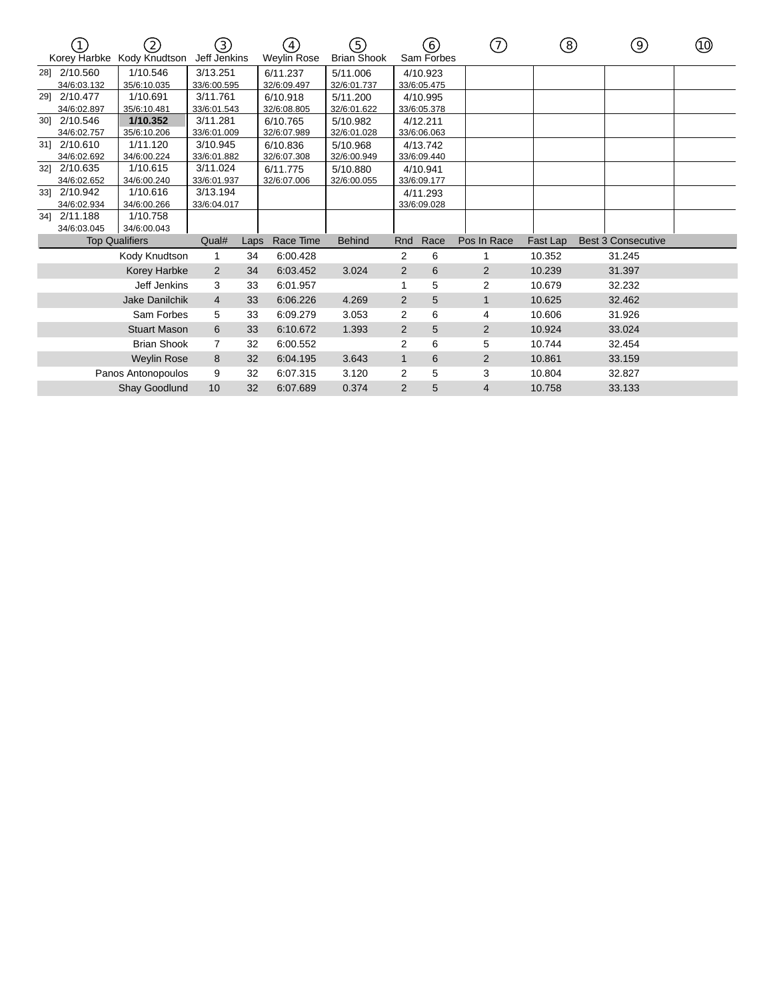|     |              | $\left( 2\right)$<br>Korey Harbke Kody Knudtson | (3)<br>Jeff Jenkins |      | (4)<br>Weylin Rose | 5<br><b>Brian Shook</b> |                | (6)<br>Sam Forbes | 7)             | ⑧        | ☉                         | (10) |
|-----|--------------|-------------------------------------------------|---------------------|------|--------------------|-------------------------|----------------|-------------------|----------------|----------|---------------------------|------|
|     | 281 2/10.560 | 1/10.546                                        | 3/13.251            |      | 6/11.237           | 5/11.006                |                | 4/10.923          |                |          |                           |      |
|     | 34/6:03.132  | 35/6:10.035                                     | 33/6:00.595         |      | 32/6:09.497        | 32/6:01.737             |                | 33/6:05.475       |                |          |                           |      |
|     | 29] 2/10.477 | 1/10.691                                        | 3/11.761            |      | 6/10.918           | 5/11.200                |                | 4/10.995          |                |          |                           |      |
|     | 34/6:02.897  | 35/6:10.481                                     | 33/6:01.543         |      | 32/6:08.805        | 32/6:01.622             |                | 33/6:05.378       |                |          |                           |      |
|     | 30] 2/10.546 | 1/10.352                                        | 3/11.281            |      | 6/10.765           | 5/10.982                |                | 4/12.211          |                |          |                           |      |
|     | 34/6:02.757  | 35/6:10.206                                     | 33/6:01.009         |      | 32/6:07.989        | 32/6:01.028             |                | 33/6:06.063       |                |          |                           |      |
|     | 31] 2/10.610 | 1/11.120                                        | 3/10.945            |      | 6/10.836           | 5/10.968                |                | 4/13.742          |                |          |                           |      |
|     | 34/6:02.692  | 34/6:00.224                                     | 33/6:01.882         |      | 32/6:07.308        | 32/6:00.949             |                | 33/6:09.440       |                |          |                           |      |
| 321 | 2/10.635     | 1/10.615                                        | 3/11.024            |      | 6/11.775           | 5/10.880                |                | 4/10.941          |                |          |                           |      |
|     | 34/6:02.652  | 34/6:00.240                                     | 33/6:01.937         |      | 32/6:07.006        | 32/6:00.055             |                | 33/6:09.177       |                |          |                           |      |
|     | 33] 2/10.942 | 1/10.616                                        | 3/13.194            |      |                    |                         |                | 4/11.293          |                |          |                           |      |
|     | 34/6:02.934  | 34/6:00.266                                     | 33/6:04.017         |      |                    |                         |                | 33/6:09.028       |                |          |                           |      |
|     | 34] 2/11.188 | 1/10.758                                        |                     |      |                    |                         |                |                   |                |          |                           |      |
|     | 34/6:03.045  | 34/6:00.043                                     |                     |      |                    |                         |                |                   |                |          |                           |      |
|     |              | <b>Top Qualifiers</b>                           | Qual#               | Laps | Race Time          | <b>Behind</b>           | Rnd            | Race              | Pos In Race    | Fast Lap | <b>Best 3 Consecutive</b> |      |
|     |              | Kody Knudtson                                   | 1                   | 34   | 6:00.428           |                         | 2              | 6                 |                | 10.352   | 31.245                    |      |
|     |              | Korey Harbke                                    | 2                   | 34   | 6:03.452           | 3.024                   | $\mathbf{2}$   | 6                 | 2              | 10.239   | 31.397                    |      |
|     |              | Jeff Jenkins                                    | 3                   | 33   | 6:01.957           |                         |                | 5                 | 2              | 10.679   | 32.232                    |      |
|     |              | <b>Jake Danilchik</b>                           | $\overline{4}$      | 33   | 6:06.226           | 4.269                   | 2              | 5                 | 1              | 10.625   | 32.462                    |      |
|     |              | Sam Forbes                                      | 5                   | 33   | 6:09.279           | 3.053                   | $\overline{2}$ | 6                 | 4              | 10.606   | 31.926                    |      |
|     |              | <b>Stuart Mason</b>                             | 6                   | 33   | 6:10.672           | 1.393                   | $\overline{2}$ | 5                 | 2              | 10.924   | 33.024                    |      |
|     |              | <b>Brian Shook</b>                              | 7                   | 32   | 6:00.552           |                         | 2              | 6                 | 5              | 10.744   | 32.454                    |      |
|     |              | <b>Weylin Rose</b>                              | 8                   | 32   | 6:04.195           | 3.643                   | $\mathbf{1}$   | 6                 | 2              | 10.861   | 33.159                    |      |
|     |              | Panos Antonopoulos                              | 9                   | 32   | 6:07.315           | 3.120                   | 2              | 5                 | 3              | 10.804   | 32.827                    |      |
|     |              | Shay Goodlund                                   | 10                  | 32   | 6:07.689           | 0.374                   | $\overline{2}$ | 5                 | $\overline{4}$ | 10.758   | 33.133                    |      |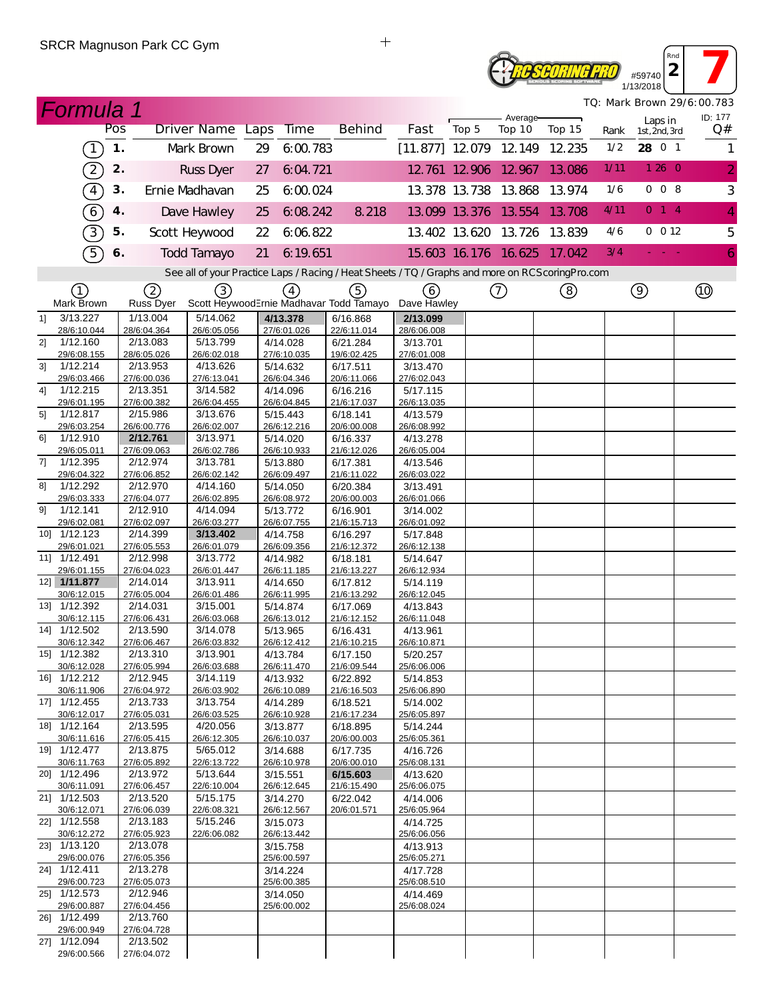## **2 7 ROSCORING PRO** 1/13/2018

*TQ: Mark Brown 29/6:00.783*

*Rnd*

|                | <b>Formula 1</b>                               |               |                         |                                                                                                  |    |                         |                         |                         |       |                             |        |      |                          | TQ: Mark Brown 29/6:00.783 |
|----------------|------------------------------------------------|---------------|-------------------------|--------------------------------------------------------------------------------------------------|----|-------------------------|-------------------------|-------------------------|-------|-----------------------------|--------|------|--------------------------|----------------------------|
|                |                                                | Pos           |                         | Driver Name Laps                                                                                 |    | <b>Time</b>             | <b>Behind</b>           | Fast                    | Top 5 | Average-<br>Top 10          | Top 15 | Rank | Laps in<br>1st, 2nd, 3rd | ID: 177<br>Q#              |
|                | $\left( \begin{matrix} 1 \end{matrix} \right)$ | $\mathbf 1$ . |                         | Mark Brown                                                                                       | 29 | 6:00.783                |                         |                         |       | $[11.877]$ 12.079 12.149    | 12.235 | 1/2  | 28 0 1                   | 1                          |
|                | $\Large{\mathbb{2}}$                           | 2.            |                         | <b>Russ Dyer</b>                                                                                 | 27 | 6:04.721                |                         |                         |       | 12 761 12 906 12 967        | 13.086 | 1/11 | 1260                     | $\overline{2}$             |
|                | $\boxed{4}$                                    | 3.            |                         | Ernie Madhavan                                                                                   | 25 | 6:00.024                |                         |                         |       | 13.378 13.738 13.868        | 13.974 | 1/6  | 008                      | $\sqrt{3}$                 |
|                | $\boxed{6}$                                    | 4.            |                         | Dave Hawley                                                                                      | 25 | 6.08.242                | 8.218                   |                         |       | 13.099 13.376 13.554        | 13.708 | 4/11 | $0 \quad 1 \quad 4$      | $\overline{4}$             |
|                | 3)                                             | 5.            |                         | Scott Heywood                                                                                    | 22 | 6:06.822                |                         |                         |       | 13.402 13.620 13.726        | 13.839 | 4/6  | $0$ 0 12                 | 5                          |
|                | 5)                                             | 6.            |                         | <b>Todd Tamayo</b>                                                                               | 21 | 6:19.651                |                         |                         |       | 15.603 16.176 16.625 17.042 |        | 3/4  |                          | $\overline{6}$             |
|                |                                                |               |                         | See all of your Practice Laps / Racing / Heat Sheets / TQ / Graphs and more on RCScoring Pro.com |    |                         |                         |                         |       |                             |        |      |                          |                            |
|                | $\left( 1\right)$                              |               | 2                       | (3)                                                                                              |    | $\left(4\right)$        | (5)                     | (6)                     |       | (7)                         | (8)    |      | $\circledcirc$           |                            |
|                | Mark Brown                                     |               | Russ Dyer               | Scott HeywoodErnie Madhavar Todd Tamayo                                                          |    |                         |                         | Dave Hawley             |       |                             |        |      |                          |                            |
| 11             | 3/13.227<br>28/6:10.044                        |               | 1/13.004<br>28/6:04.364 | 5/14.062<br>26/6:05.056                                                                          |    | 4/13.378<br>27/6:01.026 | 6/16.868<br>22/6:11.014 | 2/13.099<br>28/6:06.008 |       |                             |        |      |                          |                            |
| 2]             | 1/12.160                                       |               | 2/13.083                | 5/13.799                                                                                         |    | 4/14.028                | 6/21.284                | 3/13.701                |       |                             |        |      |                          |                            |
|                | 29/6:08.155                                    |               | 28/6:05.026             | 26/6:02.018                                                                                      |    | 27/6:10.035             | 19/6:02.425             | 27/6:01.008             |       |                             |        |      |                          |                            |
| 3 <sup>1</sup> | 1/12.214                                       |               | 2/13.953                | 4/13.626<br>27/6:13.041                                                                          |    | 5/14.632                | 6/17.511                | 3/13.470                |       |                             |        |      |                          |                            |
| 41             | 29/6:03.466<br>1/12.215                        |               | 27/6:00.036<br>2/13.351 | 3/14.582                                                                                         |    | 26/6:04.346<br>4/14.096 | 20/6:11.066<br>6/16.216 | 27/6:02.043<br>5/17.115 |       |                             |        |      |                          |                            |
|                | 29/6:01.195                                    |               | 27/6:00.382             | 26/6:04.455                                                                                      |    | 26/6:04.845             | 21/6:17.037             | 26/6:13.035             |       |                             |        |      |                          |                            |
| 5]             | 1/12.817                                       |               | 2/15.986                | 3/13.676                                                                                         |    | 5/15.443                | 6/18.141                | 4/13.579                |       |                             |        |      |                          |                            |
| 61             | 29/6:03.254<br>1/12.910                        |               | 26/6:00.776<br>2/12.761 | 26/6:02.007<br>3/13.971                                                                          |    | 26/6:12.216<br>5/14.020 | 20/6:00.008             | 26/6:08.992             |       |                             |        |      |                          |                            |
|                | 29/6:05.011                                    |               | 27/6:09.063             | 26/6:02.786                                                                                      |    | 26/6:10.933             | 6/16.337<br>21/6:12.026 | 4/13.278<br>26/6:05.004 |       |                             |        |      |                          |                            |
| 7]             | 1/12.395                                       |               | 2/12.974                | 3/13.781                                                                                         |    | 5/13.880                | 6/17.381                | 4/13.546                |       |                             |        |      |                          |                            |
|                | 29/6:04.322                                    |               | 27/6:06.852             | 26/6:02.142                                                                                      |    | 26/6:09.497             | 21/6:11.022             | 26/6:03.022             |       |                             |        |      |                          |                            |
| 81             | 1/12.292                                       |               | 2/12.970                | 4/14.160                                                                                         |    | 5/14.050                | 6/20.384                | 3/13.491                |       |                             |        |      |                          |                            |
| 91             | 29/6:03.333<br>1/12.141                        |               | 27/6:04.077<br>2/12.910 | 26/6:02.895<br>4/14.094                                                                          |    | 26/6:08.972<br>5/13.772 | 20/6:00.003<br>6/16.901 | 26/6:01.066<br>3/14.002 |       |                             |        |      |                          |                            |
|                | 29/6:02.081                                    |               | 27/6:02.097             | 26/6:03.277                                                                                      |    | 26/6:07.755             | 21/6:15.713             | 26/6:01.092             |       |                             |        |      |                          |                            |
|                | 10] 1/12.123                                   |               | 2/14.399                | 3/13.402                                                                                         |    | 4/14.758                | 6/16.297                | 5/17.848                |       |                             |        |      |                          |                            |
|                | 29/6:01.021                                    |               | 27/6:05.553             | 26/6:01.079                                                                                      |    | 26/6:09.356             | 21/6:12.372             | 26/6:12.138             |       |                             |        |      |                          |                            |
|                | 11] 1/12.491<br>29/6:01.155                    |               | 2/12.998<br>27/6:04.023 | 3/13.772<br>26/6:01.447                                                                          |    | 4/14.982<br>26/6:11.185 | 6/18.181<br>21/6:13.227 | 5/14.647<br>26/6:12.934 |       |                             |        |      |                          |                            |
|                | 12] 1/11.877                                   |               | 2/14.014                | 3/13.911                                                                                         |    | 4/14.650                | 6/17.812                | 5/14.119                |       |                             |        |      |                          |                            |
|                | 30/6:12.015                                    |               | 27/6:05.004             | 26/6:01.486                                                                                      |    | 26/6:11.995             | 21/6:13.292             | 26/6:12.045             |       |                             |        |      |                          |                            |
|                | 13] 1/12.392                                   |               | 2/14.031                | 3/15.001                                                                                         |    | 5/14.874                | 6/17.069                | 4/13.843                |       |                             |        |      |                          |                            |
|                | 30/6:12.115<br>14] 1/12.502                    |               | 27/6:06.431<br>2/13.590 | 26/6:03.068<br>3/14.078                                                                          |    | 26/6:13.012<br>5/13.965 | 21/6:12.152<br>6/16.431 | 26/6:11.048<br>4/13.961 |       |                             |        |      |                          |                            |
|                | 30/6:12.342                                    |               | 27/6:06.467             | 26/6:03.832                                                                                      |    | 26/6:12.412             | 21/6:10.215             | 26/6:10.871             |       |                             |        |      |                          |                            |
|                | 15] 1/12.382                                   |               | 2/13.310                | 3/13.901                                                                                         |    | 4/13.784                | 6/17.150                | 5/20.257                |       |                             |        |      |                          |                            |
|                | 30/6.12028                                     |               | 27/6:05.994             | 26/6:03 688                                                                                      |    | 26/6:11.470             | 21/6:09.544             | 25/6:06.006             |       |                             |        |      |                          |                            |
|                | 16] 1/12.212<br>30/6:11.906                    |               | 2/12.945<br>27/6:04.972 | 3/14.119<br>26/6:03.902                                                                          |    | 4/13.932<br>26/6:10.089 | 6/22.892<br>21/6:16.503 | 5/14.853<br>25/6:06.890 |       |                             |        |      |                          |                            |
|                | 17] 1/12.455                                   |               | 2/13.733                | 3/13.754                                                                                         |    | 4/14.289                | 6/18.521                | 5/14.002                |       |                             |        |      |                          |                            |
|                | 30/6:12.017                                    |               | 27/6:05.031             | 26/6:03.525                                                                                      |    | 26/6:10.928             | 21/6:17.234             | 25/6:05.897             |       |                             |        |      |                          |                            |
|                | 18] 1/12.164                                   |               | 2/13.595                | 4/20.056                                                                                         |    | 3/13.877                | 6/18.895                | 5/14.244                |       |                             |        |      |                          |                            |
|                | 30/6:11.616<br>19] 1/12.477                    |               | 27/6:05.415<br>2/13.875 | 26/6:12.305<br>5/65.012                                                                          |    | 26/6:10.037<br>3/14.688 | 20/6:00.003<br>6/17.735 | 25/6:05.361<br>4/16.726 |       |                             |        |      |                          |                            |
|                | 30/6:11.763                                    |               | 27/6:05.892             | 22/6:13.722                                                                                      |    | 26/6:10.978             | 20/6:00.010             | 25/6:08.131             |       |                             |        |      |                          |                            |
|                | 20] 1/12.496                                   |               | 2/13.972                | 5/13.644                                                                                         |    | 3/15.551                | 6/15.603                | 4/13.620                |       |                             |        |      |                          |                            |
|                | 30/6:11.091                                    |               | 27/6:06.457             | 22/6:10.004                                                                                      |    | 26/6:12.645             | 21/6:15.490             | 25/6:06.075             |       |                             |        |      |                          |                            |
|                | 21] 1/12.503<br>30/6:12.071                    |               | 2/13.520<br>27/6:06.039 | 5/15.175<br>22/6:08.321                                                                          |    | 3/14.270<br>26/6:12.567 | 6/22.042<br>20/6:01.571 | 4/14.006<br>25/6:05.964 |       |                             |        |      |                          |                            |
|                | 22] 1/12.558                                   |               | 2/13.183                | 5/15.246                                                                                         |    | 3/15.073                |                         | 4/14.725                |       |                             |        |      |                          |                            |
|                | 30/6:12.272                                    |               | 27/6:05.923             | 22/6:06.082                                                                                      |    | 26/6:13.442             |                         | 25/6:06.056             |       |                             |        |      |                          |                            |
|                | 23] 1/13.120                                   |               | 2/13.078                |                                                                                                  |    | 3/15.758                |                         | 4/13.913                |       |                             |        |      |                          |                            |
|                | 29/6:00.076<br>24] 1/12.411                    |               | 27/6:05.356<br>2/13.278 |                                                                                                  |    | 25/6:00.597<br>3/14.224 |                         | 25/6:05.271<br>4/17.728 |       |                             |        |      |                          |                            |
|                | 29/6:00.723                                    |               | 27/6:05.073             |                                                                                                  |    | 25/6:00.385             |                         | 25/6:08.510             |       |                             |        |      |                          |                            |
|                | 25] 1/12.573                                   |               | 2/12.946                |                                                                                                  |    | 3/14.050                |                         | 4/14.469                |       |                             |        |      |                          |                            |
|                | 29/6:00.887                                    |               | 27/6:04.456             |                                                                                                  |    | 25/6:00.002             |                         | 25/6:08.024             |       |                             |        |      |                          |                            |
|                | 26] 1/12.499<br>29/6:00.949                    |               | 2/13.760<br>27/6:04.728 |                                                                                                  |    |                         |                         |                         |       |                             |        |      |                          |                            |
|                | 27] 1/12.094                                   |               | 2/13.502                |                                                                                                  |    |                         |                         |                         |       |                             |        |      |                          |                            |
|                | 29/6:00.566                                    |               | 27/6:04.072             |                                                                                                  |    |                         |                         |                         |       |                             |        |      |                          |                            |

 $+$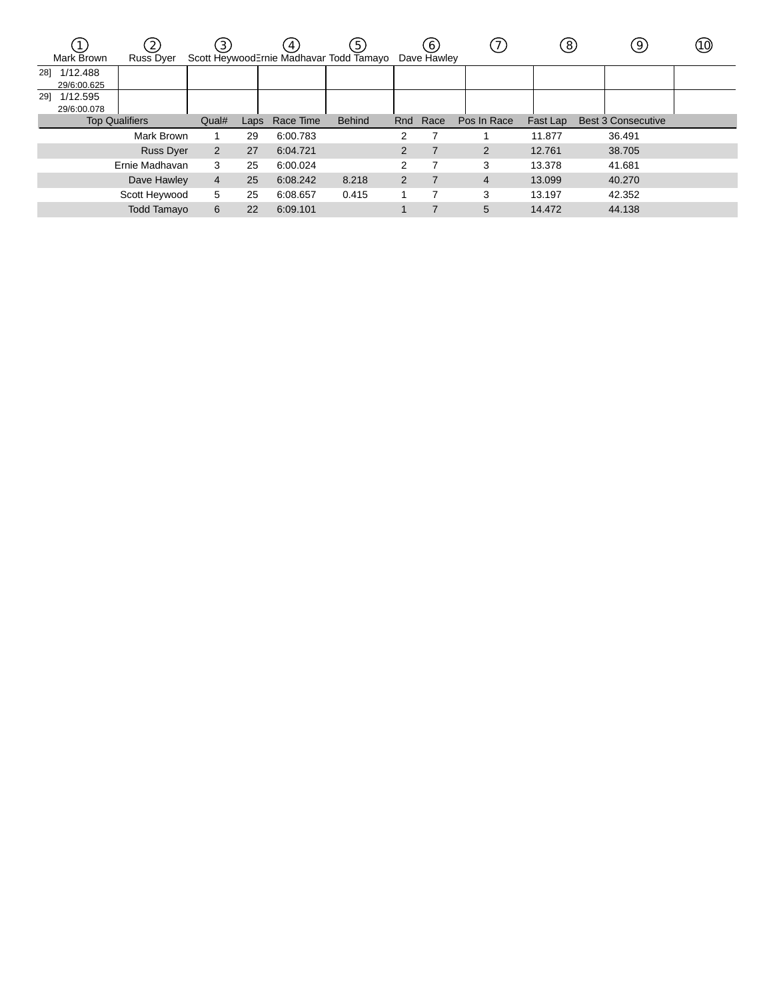|     | Mark Brown              | (2)<br><b>Russ Dyer</b> | $\left(3\right)$ |      | $\mathbf{A}$ | (5)<br>Scott HeywoodErnie Madhavar Todd Tamayo |     | 6 <sub>1</sub><br>Dave Hawley |             | (8)      | 9                         | (10) |
|-----|-------------------------|-------------------------|------------------|------|--------------|------------------------------------------------|-----|-------------------------------|-------------|----------|---------------------------|------|
| 281 | 1/12.488<br>29/6:00.625 |                         |                  |      |              |                                                |     |                               |             |          |                           |      |
| 291 | 1/12.595<br>29/6:00.078 |                         |                  |      |              |                                                |     |                               |             |          |                           |      |
|     | <b>Top Qualifiers</b>   |                         | Qual#            | Laps | Race Time    | <b>Behind</b>                                  | Rnd | Race                          | Pos In Race | Fast Lap | <b>Best 3 Consecutive</b> |      |
|     |                         | Mark Brown              |                  | 29   | 6:00.783     |                                                | 2   |                               |             | 11.877   | 36.491                    |      |
|     |                         | <b>Russ Dyer</b>        | 2                | 27   | 6:04.721     |                                                | 2   |                               | 2           | 12.761   | 38.705                    |      |
|     |                         | Ernie Madhavan          | 3                | 25   | 6:00.024     |                                                | 2   |                               | 3           | 13.378   | 41.681                    |      |
|     |                         | Dave Hawley             | $\overline{4}$   | 25   | 6:08.242     | 8.218                                          | 2   |                               | 4           | 13.099   | 40.270                    |      |
|     |                         | Scott Heywood           | 5                | 25   | 6:08.657     | 0.415                                          |     |                               | 3           | 13.197   | 42.352                    |      |
|     |                         | <b>Todd Tamayo</b>      | 6                | 22   | 6:09.101     |                                                |     |                               | 5           | 14.472   | 44.138                    |      |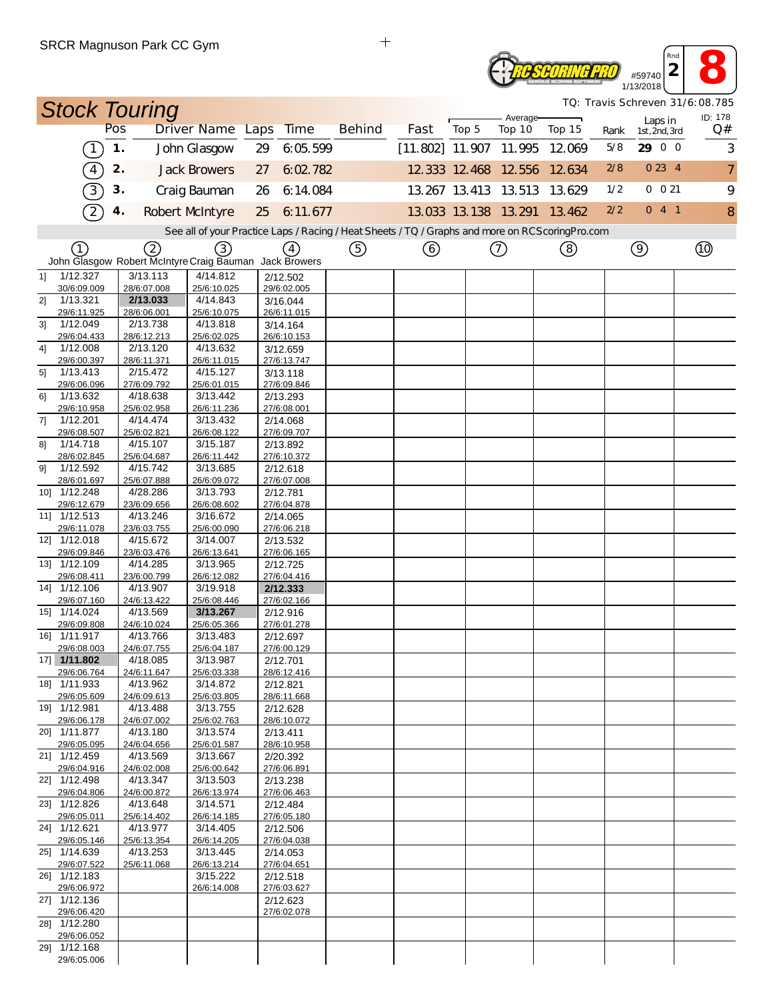## **2 8**<br> **2 8**<br> **13/2018 TE SCORING PRO** 1/13/2018

*TQ: Travis Schreven 31/6:08.785*

*Rnd*

|                |                             |     | <b>Stock Touring</b>                                   |                                                                                                   |    |                         |               |      |                      | Average-                    |        |      |                          | <i>TQ: Travis Schreven 3176:08.785</i><br>ID: 178 |
|----------------|-----------------------------|-----|--------------------------------------------------------|---------------------------------------------------------------------------------------------------|----|-------------------------|---------------|------|----------------------|-----------------------------|--------|------|--------------------------|---------------------------------------------------|
|                |                             | Pos |                                                        | Driver Name Laps Time                                                                             |    |                         | <b>Behind</b> | Fast | Top 5                | Top 10                      | Top 15 | Rank | Laps in<br>1st, 2nd, 3rd | Q#                                                |
|                | $\lceil$                    | 1.  |                                                        | John Glasgow                                                                                      | 29 | 6:05.599                |               |      |                      | $[11.802]$ 11.907 11.995    | 12.069 | 5/8  | 29 0 0                   | 3                                                 |
|                | $\binom{4}{}$               | 2.  |                                                        | <b>Jack Browers</b>                                                                               | 27 | 6:02.782                |               |      |                      | 12 333 12 468 12 556        | 12.634 | 2/8  | 0234                     | $\overline{7}$                                    |
|                | $\boxed{3}$                 | 3.  |                                                        | Craig Bauman                                                                                      | 26 | 6:14.084                |               |      |                      | 13.267 13.413 13.513 13.629 |        | 1/2  | $0 \t0 21$               | 9                                                 |
|                | $\mathcal{D}$               | 4.  |                                                        | <b>Robert McIntyre</b>                                                                            | 25 | 6:11.677                |               |      | 13.033 13.138 13.291 |                             | 13.462 | 2/2  | 041                      | 8                                                 |
|                |                             |     |                                                        | See all of your Practice Laps / Racing / Heat Sheets / TQ / Graphs and more on RCS coring Pro.com |    |                         |               |      |                      |                             |        |      |                          |                                                   |
|                | ①                           |     | ②                                                      | 3                                                                                                 |    | $\omega$                | ⑤             | ⊙    |                      | $^\copyright$               | ⑧      |      | $\circledcirc$           |                                                   |
|                |                             |     | John Glasgow Robert McIntyre Craig Bauman Jack Browers |                                                                                                   |    |                         |               |      |                      |                             |        |      |                          |                                                   |
| 11             | 1/12.327                    |     | 3/13.113                                               | 4/14.812                                                                                          |    | 2/12.502                |               |      |                      |                             |        |      |                          |                                                   |
| 21             | 30/6:09.009<br>1/13.321     |     | 28/6:07.008<br>2/13.033                                | 25/6:10.025<br>4/14.843                                                                           |    | 29/6:02.005<br>3/16.044 |               |      |                      |                             |        |      |                          |                                                   |
|                | 29/6:11.925                 |     | 28/6:06.001                                            | 25/6:10.075                                                                                       |    | 26/6:11.015             |               |      |                      |                             |        |      |                          |                                                   |
| 3 <sup>1</sup> | 1/12.049<br>29/6:04.433     |     | 2/13.738<br>28/6:12.213                                | 4/13.818<br>25/6:02.025                                                                           |    | 3/14.164<br>26/6:10.153 |               |      |                      |                             |        |      |                          |                                                   |
| 4]             | 1/12.008                    |     | 2/13.120                                               | 4/13.632                                                                                          |    | 3/12.659                |               |      |                      |                             |        |      |                          |                                                   |
|                | 29/6:00.397                 |     | 28/6:11.371                                            | 26/6:11.015                                                                                       |    | 27/6:13.747             |               |      |                      |                             |        |      |                          |                                                   |
| 5]             | 1/13.413<br>29/6:06.096     |     | 2/15.472<br>27/6:09.792                                | 4/15.127<br>25/6:01.015                                                                           |    | 3/13.118<br>27/6:09.846 |               |      |                      |                             |        |      |                          |                                                   |
| 61             | 1/13.632                    |     | 4/18.638                                               | 3/13.442                                                                                          |    | 2/13.293                |               |      |                      |                             |        |      |                          |                                                   |
|                | 29/6:10.958                 |     | 25/6:02.958                                            | 26/6:11.236                                                                                       |    | 27/6:08.001             |               |      |                      |                             |        |      |                          |                                                   |
| 7]             | 1/12.201                    |     | 4/14.474                                               | 3/13.432                                                                                          |    | 2/14.068                |               |      |                      |                             |        |      |                          |                                                   |
| 81             | 29/6:08.507<br>1/14.718     |     | 25/6:02.821<br>4/15.107                                | 26/6:08.122<br>3/15.187                                                                           |    | 27/6:09.707<br>2/13.892 |               |      |                      |                             |        |      |                          |                                                   |
|                | 28/6:02.845                 |     | 25/6:04.687                                            | 26/6:11.442                                                                                       |    | 27/6:10.372             |               |      |                      |                             |        |      |                          |                                                   |
| 91             | 1/12.592                    |     | 4/15.742                                               | 3/13.685                                                                                          |    | 2/12.618                |               |      |                      |                             |        |      |                          |                                                   |
| 10]            | 28/6:01.697<br>1/12.248     |     | 25/6:07.888<br>4/28.286                                | 26/6:09.072<br>3/13.793                                                                           |    | 27/6:07.008<br>2/12.781 |               |      |                      |                             |        |      |                          |                                                   |
|                | 29/6:12.679                 |     | 23/6:09.656                                            | 26/6:08.602                                                                                       |    | 27/6:04.878             |               |      |                      |                             |        |      |                          |                                                   |
|                | 11] 1/12.513                |     | 4/13.246                                               | 3/16.672                                                                                          |    | 2/14.065                |               |      |                      |                             |        |      |                          |                                                   |
|                | 29/6:11.078<br>12] 1/12.018 |     | 23/6:03.755<br>4/15.672                                | 25/6:00.090<br>3/14.007                                                                           |    | 27/6:06.218<br>2/13.532 |               |      |                      |                             |        |      |                          |                                                   |
|                | 29/6:09.846                 |     | 23/6:03.476                                            | 26/6:13.641                                                                                       |    | 27/6:06.165             |               |      |                      |                             |        |      |                          |                                                   |
|                | 13] 1/12.109                |     | 4/14.285                                               | 3/13.965                                                                                          |    | 2/12.725                |               |      |                      |                             |        |      |                          |                                                   |
|                | 29/6:08.411<br>14] 1/12.106 |     | 23/6:00.799<br>4/13.907                                | 26/6:12.082<br>3/19.918                                                                           |    | 27/6:04.416<br>2/12.333 |               |      |                      |                             |        |      |                          |                                                   |
|                | 29/6:07.160                 |     | 24/6:13.422                                            | 25/6:08.446                                                                                       |    | 27/6:02.166             |               |      |                      |                             |        |      |                          |                                                   |
|                | 15] 1/14.024                |     | 4/13.569                                               | 3/13.267                                                                                          |    | 2/12.916                |               |      |                      |                             |        |      |                          |                                                   |
|                | 29/6:09.808<br>16] 1/11.917 |     | 24/6:10.024<br>4/13.766                                | 25/6:05.366<br>3/13.483                                                                           |    | 27/6:01.278<br>2/12.697 |               |      |                      |                             |        |      |                          |                                                   |
|                | 29/6:08.003                 |     | 24/6:07.755                                            | 25/6:04.187                                                                                       |    | 27/6:00.129             |               |      |                      |                             |        |      |                          |                                                   |
|                | 17] 1/11.802                |     | 4/18.085                                               | 3/13.987                                                                                          |    | 2/12.701                |               |      |                      |                             |        |      |                          |                                                   |
|                | 29/6:06.764                 |     | 24/6:11.647                                            | 25/6:03.338                                                                                       |    | 28/6:12.416             |               |      |                      |                             |        |      |                          |                                                   |
|                | 18] 1/11.933<br>29/6:05.609 |     | 4/13.962<br>24/6:09.613                                | 3/14.872<br>25/6:03.805                                                                           |    | 2/12.821<br>28/6:11.668 |               |      |                      |                             |        |      |                          |                                                   |
|                | 19] 1/12.981                |     | 4/13.488                                               | 3/13.755                                                                                          |    | 2/12.628                |               |      |                      |                             |        |      |                          |                                                   |
|                | 29/6:06.178<br>20] 1/11.877 |     | 24/6:07.002<br>4/13.180                                | 25/6:02.763<br>3/13.574                                                                           |    | 28/6:10.072             |               |      |                      |                             |        |      |                          |                                                   |
|                | 29/6:05.095                 |     | 24/6:04.656                                            | 25/6:01.587                                                                                       |    | 2/13.411<br>28/6:10.958 |               |      |                      |                             |        |      |                          |                                                   |
|                | 21] 1/12.459                |     | 4/13.569                                               | 3/13.667                                                                                          |    | 2/20.392                |               |      |                      |                             |        |      |                          |                                                   |
|                | 29/6:04.916                 |     | 24/6:02.008                                            | 25/6:00.642                                                                                       |    | 27/6:06.891             |               |      |                      |                             |        |      |                          |                                                   |
|                | 22] 1/12.498<br>29/6:04.806 |     | 4/13.347<br>24/6:00.872                                | 3/13.503<br>26/6:13.974                                                                           |    | 2/13.238<br>27/6:06.463 |               |      |                      |                             |        |      |                          |                                                   |
|                | 23] 1/12.826                |     | 4/13.648                                               | 3/14.571                                                                                          |    | 2/12.484                |               |      |                      |                             |        |      |                          |                                                   |
|                | 29/6:05.011                 |     | 25/6:14.402                                            | 26/6:14.185                                                                                       |    | 27/6:05.180             |               |      |                      |                             |        |      |                          |                                                   |
|                | 24] 1/12.621<br>29/6:05.146 |     | 4/13.977<br>25/6:13.354                                | 3/14.405<br>26/6:14.205                                                                           |    | 2/12.506<br>27/6:04.038 |               |      |                      |                             |        |      |                          |                                                   |
|                | 25] 1/14.639                |     | 4/13.253                                               | 3/13.445                                                                                          |    | 2/14.053                |               |      |                      |                             |        |      |                          |                                                   |
|                | 29/6:07.522                 |     | 25/6:11.068                                            | 26/6:13.214                                                                                       |    | 27/6:04.651             |               |      |                      |                             |        |      |                          |                                                   |
|                | 26] 1/12.183<br>29/6:06.972 |     |                                                        | 3/15.222<br>26/6:14.008                                                                           |    | 2/12.518<br>27/6:03.627 |               |      |                      |                             |        |      |                          |                                                   |
|                | 27] 1/12.136                |     |                                                        |                                                                                                   |    | 2/12.623                |               |      |                      |                             |        |      |                          |                                                   |
|                | 29/6:06.420                 |     |                                                        |                                                                                                   |    | 27/6:02.078             |               |      |                      |                             |        |      |                          |                                                   |
|                | 28] 1/12.280<br>29/6:06.052 |     |                                                        |                                                                                                   |    |                         |               |      |                      |                             |        |      |                          |                                                   |
|                | 29] 1/12.168                |     |                                                        |                                                                                                   |    |                         |               |      |                      |                             |        |      |                          |                                                   |
|                | 29/6:05.006                 |     |                                                        |                                                                                                   |    |                         |               |      |                      |                             |        |      |                          |                                                   |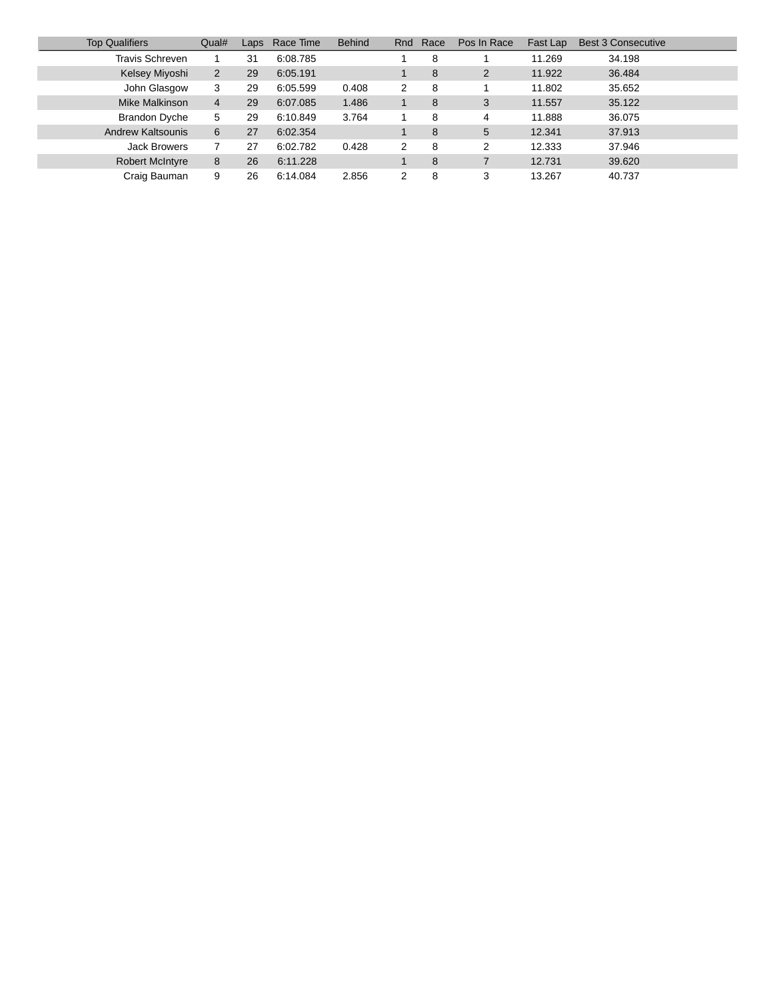| <b>Top Qualifiers</b>    | Qual#          | Laps | Race Time | <b>Behind</b> | Rnd | Race | Pos In Race | Fast Lap | <b>Best 3 Consecutive</b> |
|--------------------------|----------------|------|-----------|---------------|-----|------|-------------|----------|---------------------------|
| Travis Schreven          |                | 31   | 6:08.785  |               |     | 8    |             | 11.269   | 34.198                    |
| Kelsey Miyoshi           | $\overline{2}$ | 29   | 6:05.191  |               |     | 8    | 2           | 11.922   | 36.484                    |
| John Glasgow             | 3              | 29   | 6:05.599  | 0.408         | 2   | 8    |             | 11.802   | 35.652                    |
| Mike Malkinson           | $\overline{4}$ | 29   | 6:07.085  | 1.486         |     | 8    | 3           | 11.557   | 35.122                    |
| <b>Brandon Dyche</b>     | 5              | 29   | 6:10.849  | 3.764         |     | 8    | 4           | 11.888   | 36.075                    |
| <b>Andrew Kaltsounis</b> | 6              | 27   | 6:02.354  |               |     | 8    | 5           | 12.341   | 37.913                    |
| <b>Jack Browers</b>      |                | 27   | 6:02.782  | 0.428         | 2   | 8    | 2           | 12.333   | 37.946                    |
| <b>Robert McIntyre</b>   | 8              | 26   | 6:11.228  |               |     | 8    |             | 12.731   | 39.620                    |
| Craig Bauman             | 9              | 26   | 6:14.084  | 2.856         | 2   | 8    | 3           | 13.267   | 40.737                    |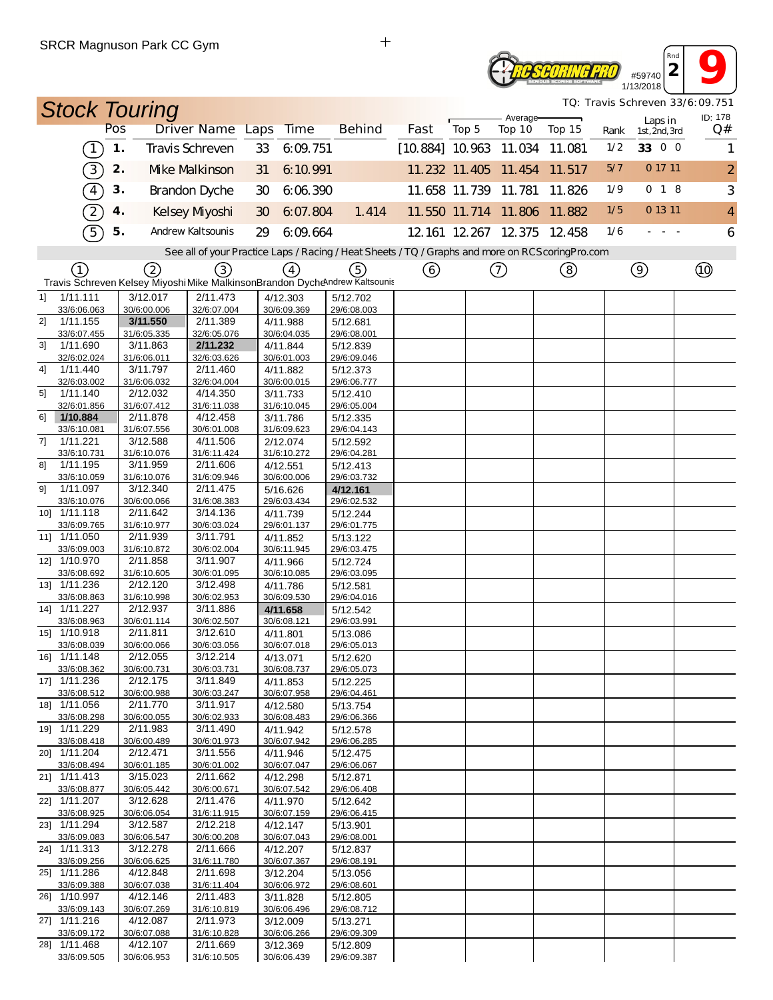#### #59740<br>#59740<br>**2 13/2018** *Rnd* **TE SCORING PRO** 1/13/2018

*TQ: Travis Schreven 33/6:09.751*

|    | <b>Stock Touring</b>        |     |                         |                         |    |                         |                                                                                                   |                        |                             |                    |        |      |                          | <i>TQ: Travis Schreven 33/6:09.751</i><br>ID: 178 |
|----|-----------------------------|-----|-------------------------|-------------------------|----|-------------------------|---------------------------------------------------------------------------------------------------|------------------------|-----------------------------|--------------------|--------|------|--------------------------|---------------------------------------------------|
|    |                             | Pos |                         | Driver Name Laps        |    | <b>Time</b>             | <b>Behind</b>                                                                                     | Fast                   | Top 5                       | Average-<br>Top 10 | Top 15 | Rank | Laps in<br>1st, 2nd, 3rd | Q#                                                |
|    | $\lceil$                    | 1.  |                         | <b>Travis Schreven</b>  | 33 | 6:09:751                |                                                                                                   | [10.884] 10.963 11.034 |                             |                    | 11.081 | 1/2  | 33 0 0                   | 1                                                 |
|    | 3)                          | 2.  |                         | <b>Mke Malkinson</b>    | 31 | 6:10.991                |                                                                                                   |                        | 11.232 11.405 11.454        |                    | 11.517 | 5/7  | 0 17 11                  | $\overline{2}$                                    |
|    | $\widehat{4}$               | 3.  |                         | <b>Brandon Dyche</b>    | 30 | 6:06.390                |                                                                                                   |                        | 11.658 11.739 11.781        |                    | 11.826 | 1/9  | $0$ 1 8                  | 3                                                 |
|    | $\boxed{2}$                 | 4.  |                         | Kelsey Myoshi           | 30 | 6:07.804                | 1.414                                                                                             |                        | 11.550 11.714 11.806        |                    | 11.882 | 1/5  | 0 13 11                  | $\overline{4}$                                    |
|    | $\widehat{5}$               | 5.  |                         | Andrew Kaltsounis       | 29 | 6:09.664                |                                                                                                   |                        | 12.161 12.267 12.375 12.458 |                    |        | 1/6  |                          | 6                                                 |
|    |                             |     |                         |                         |    |                         | See all of your Practice Laps / Racing / Heat Sheets / TQ / Graphs and more on RCS coring Pro.com |                        |                             |                    |        |      |                          |                                                   |
|    | ①                           |     | (2)                     | (3)                     |    | $\left(4\right)$        | (5)                                                                                               | ⑥                      |                             | ⊙                  | ③      |      | $\circledcirc$           |                                                   |
|    |                             |     |                         |                         |    |                         | Travis Schreven Kelsey Miyoshi Mike MalkinsonBrandon Dychendrew Kaltsounis                        |                        |                             |                    |        |      |                          |                                                   |
| 11 | 1/11.111                    |     | 3/12.017                | 2/11.473                |    | 4/12.303                | 5/12.702                                                                                          |                        |                             |                    |        |      |                          |                                                   |
| 2] | 33/6:06.063<br>1/11.155     |     | 30/6:00.006<br>3/11.550 | 32/6:07.004<br>2/11.389 |    | 30/6:09.369<br>4/11.988 | 29/6:08.003<br>5/12.681                                                                           |                        |                             |                    |        |      |                          |                                                   |
|    | 33/6:07.455                 |     | 31/6:05.335             | 32/6:05.076             |    | 30/6:04.035             | 29/6:08.001                                                                                       |                        |                             |                    |        |      |                          |                                                   |
| 31 | 1/11.690                    |     | 3/11.863                | 2/11.232                |    | 4/11.844                | 5/12.839                                                                                          |                        |                             |                    |        |      |                          |                                                   |
| 4] | 32/6:02.024<br>1/11.440     |     | 31/6:06.011<br>3/11.797 | 32/6:03.626<br>2/11.460 |    | 30/6:01.003<br>4/11.882 | 29/6:09.046<br>5/12.373                                                                           |                        |                             |                    |        |      |                          |                                                   |
|    | 32/6:03.002                 |     | 31/6:06.032             | 32/6:04.004             |    | 30/6:00.015             | 29/6:06.777                                                                                       |                        |                             |                    |        |      |                          |                                                   |
| 51 | 1/11.140                    |     | 2/12.032                | 4/14.350                |    | 3/11.733                | 5/12.410                                                                                          |                        |                             |                    |        |      |                          |                                                   |
|    | 32/6:01.856                 |     | 31/6:07.412             | 31/6:11.038             |    | 31/6:10.045             | 29/6:05.004                                                                                       |                        |                             |                    |        |      |                          |                                                   |
| 61 | 1/10.884<br>33/6:10.081     |     | 2/11.878<br>31/6:07.556 | 4/12.458<br>30/6:01.008 |    | 3/11.786<br>31/6:09.623 | 5/12.335<br>29/6:04.143                                                                           |                        |                             |                    |        |      |                          |                                                   |
| 7] | 1/11.221                    |     | 3/12.588                | 4/11.506                |    | 2/12.074                | 5/12.592                                                                                          |                        |                             |                    |        |      |                          |                                                   |
|    | 33/6:10.731                 |     | 31/6:10.076             | 31/6:11.424             |    | 31/6:10.272             | 29/6:04.281                                                                                       |                        |                             |                    |        |      |                          |                                                   |
| 81 | 1/11.195                    |     | 3/11.959                | 2/11.606                |    | 4/12.551                | 5/12.413                                                                                          |                        |                             |                    |        |      |                          |                                                   |
|    | 33/6:10.059                 |     | 31/6:10.076<br>3/12.340 | 31/6:09.946<br>2/11.475 |    | 30/6:00.006             | 29/6:03.732                                                                                       |                        |                             |                    |        |      |                          |                                                   |
| 91 | 1/11.097<br>33/6:10.076     |     | 30/6:00.066             | 31/6:08.383             |    | 5/16.626<br>29/6:03.434 | 4/12.161<br>29/6:02.532                                                                           |                        |                             |                    |        |      |                          |                                                   |
|    | 10] 1/11.118                |     | 2/11.642                | 3/14.136                |    | 4/11.739                | 5/12.244                                                                                          |                        |                             |                    |        |      |                          |                                                   |
|    | 33/6:09.765                 |     | 31/6:10.977             | 30/6:03.024             |    | 29/6:01.137             | 29/6:01.775                                                                                       |                        |                             |                    |        |      |                          |                                                   |
|    | 11] 1/11.050                |     | 2/11.939                | 3/11.791                |    | 4/11.852                | 5/13.122                                                                                          |                        |                             |                    |        |      |                          |                                                   |
|    | 33/6:09.003<br>12] 1/10.970 |     | 31/6:10.872<br>2/11.858 | 30/6:02.004<br>3/11.907 |    | 30/6:11.945<br>4/11.966 | 29/6:03.475<br>5/12.724                                                                           |                        |                             |                    |        |      |                          |                                                   |
|    | 33/6:08.692                 |     | 31/6:10.605             | 30/6:01.095             |    | 30/6:10.085             | 29/6:03.095                                                                                       |                        |                             |                    |        |      |                          |                                                   |
|    | 13] 1/11.236                |     | 2/12.120                | 3/12.498                |    | 4/11.786                | 5/12.581                                                                                          |                        |                             |                    |        |      |                          |                                                   |
|    | 33/6:08.863                 |     | 31/6:10.998             | 30/6:02.953             |    | 30/6:09.530             | 29/6:04.016                                                                                       |                        |                             |                    |        |      |                          |                                                   |
|    | 14] 1/11.227                |     | 2/12.937                | 3/11.886<br>30/6:02.507 |    | 4/11.658                | 5/12.542                                                                                          |                        |                             |                    |        |      |                          |                                                   |
|    | 33/6:08.963<br>15] 1/10.918 |     | 30/6:01.114<br>2/11.811 | 3/12.610                |    | 30/6:08.121<br>4/11.801 | 29/6:03.991<br>5/13.086                                                                           |                        |                             |                    |        |      |                          |                                                   |
|    | 33/6:08.039                 |     | 30/6:00.066             | 30/6:03.056             |    | 30/6:07.018             | 29/6:05.013                                                                                       |                        |                             |                    |        |      |                          |                                                   |
|    | 16] 1/11.148                |     | 2/12.055                | 3/12.214                |    | 4/13.071                | 5/12.620                                                                                          |                        |                             |                    |        |      |                          |                                                   |
|    | 33/6:08.362                 |     | 30/6:00.731             | 30/6:03.731             |    | 30/6:08.737             | 29/6:05.073                                                                                       |                        |                             |                    |        |      |                          |                                                   |
|    | 17] 1/11.236<br>33/6:08.512 |     | 2/12.175<br>30/6:00.988 | 3/11.849<br>30/6:03.247 |    | 4/11.853<br>30/6:07.958 | 5/12.225<br>29/6:04.461                                                                           |                        |                             |                    |        |      |                          |                                                   |
|    | 18] 1/11.056                |     | 2/11.770                | 3/11.917                |    | 4/12.580                | 5/13.754                                                                                          |                        |                             |                    |        |      |                          |                                                   |
|    | 33/6:08.298                 |     | 30/6:00.055             | 30/6:02.933             |    | 30/6:08.483             | 29/6:06.366                                                                                       |                        |                             |                    |        |      |                          |                                                   |
|    | 19] 1/11.229                |     | 2/11.983                | 3/11.490                |    | 4/11.942                | 5/12.578                                                                                          |                        |                             |                    |        |      |                          |                                                   |
|    | 33/6:08.418<br>20] 1/11.204 |     | 30/6:00.489<br>2/12.471 | 30/6:01.973<br>3/11.556 |    | 30/6:07.942<br>4/11.946 | 29/6:06.285<br>5/12.475                                                                           |                        |                             |                    |        |      |                          |                                                   |
|    | 33/6:08.494                 |     | 30/6:01.185             | 30/6:01.002             |    | 30/6:07.047             | 29/6:06.067                                                                                       |                        |                             |                    |        |      |                          |                                                   |
|    | 21] 1/11.413                |     | 3/15.023                | 2/11.662                |    | 4/12.298                | 5/12.871                                                                                          |                        |                             |                    |        |      |                          |                                                   |
|    | 33/6:08.877                 |     | 30/6:05.442             | 30/6:00.671             |    | 30/6:07.542             | 29/6:06.408                                                                                       |                        |                             |                    |        |      |                          |                                                   |
|    | 22] 1/11.207<br>33/6:08.925 |     | 3/12.628<br>30/6:06.054 | 2/11.476<br>31/6:11.915 |    | 4/11.970<br>30/6:07.159 | 5/12.642<br>29/6:06.415                                                                           |                        |                             |                    |        |      |                          |                                                   |
|    | 23] 1/11.294                |     | 3/12.587                | 2/12.218                |    | 4/12.147                | 5/13.901                                                                                          |                        |                             |                    |        |      |                          |                                                   |
|    | 33/6:09.083                 |     | 30/6:06.547             | 30/6:00.208             |    | 30/6:07.043             | 29/6:08.001                                                                                       |                        |                             |                    |        |      |                          |                                                   |
|    | 24] 1/11.313                |     | 3/12.278                | 2/11.666                |    | 4/12.207                | 5/12.837                                                                                          |                        |                             |                    |        |      |                          |                                                   |
|    | 33/6:09.256<br>25] 1/11.286 |     | 30/6:06.625<br>4/12.848 | 31/6:11.780<br>2/11.698 |    | 30/6:07.367<br>3/12.204 | 29/6:08.191<br>5/13.056                                                                           |                        |                             |                    |        |      |                          |                                                   |
|    | 33/6:09.388                 |     | 30/6:07.038             | 31/6:11.404             |    | 30/6:06.972             | 29/6:08.601                                                                                       |                        |                             |                    |        |      |                          |                                                   |
|    | 26] 1/10.997                |     | 4/12.146                | 2/11.483                |    | 3/11.828                | 5/12.805                                                                                          |                        |                             |                    |        |      |                          |                                                   |
|    | 33/6:09.143                 |     | 30/6:07.269             | 31/6:10.819             |    | 30/6:06.496             | 29/6:08.712                                                                                       |                        |                             |                    |        |      |                          |                                                   |
|    | 27] 1/11.216<br>33/6:09.172 |     | 4/12.087<br>30/6:07.088 | 2/11.973<br>31/6:10.828 |    | 3/12.009<br>30/6:06.266 | 5/13.271<br>29/6:09.309                                                                           |                        |                             |                    |        |      |                          |                                                   |
|    | 28] 1/11.468                |     | 4/12.107                | 2/11.669                |    | 3/12.369                | 5/12.809                                                                                          |                        |                             |                    |        |      |                          |                                                   |
|    | 33/6:09.505                 |     | 30/6:06.953             | 31/6:10.505             |    | 30/6:06.439             | 29/6:09.387                                                                                       |                        |                             |                    |        |      |                          |                                                   |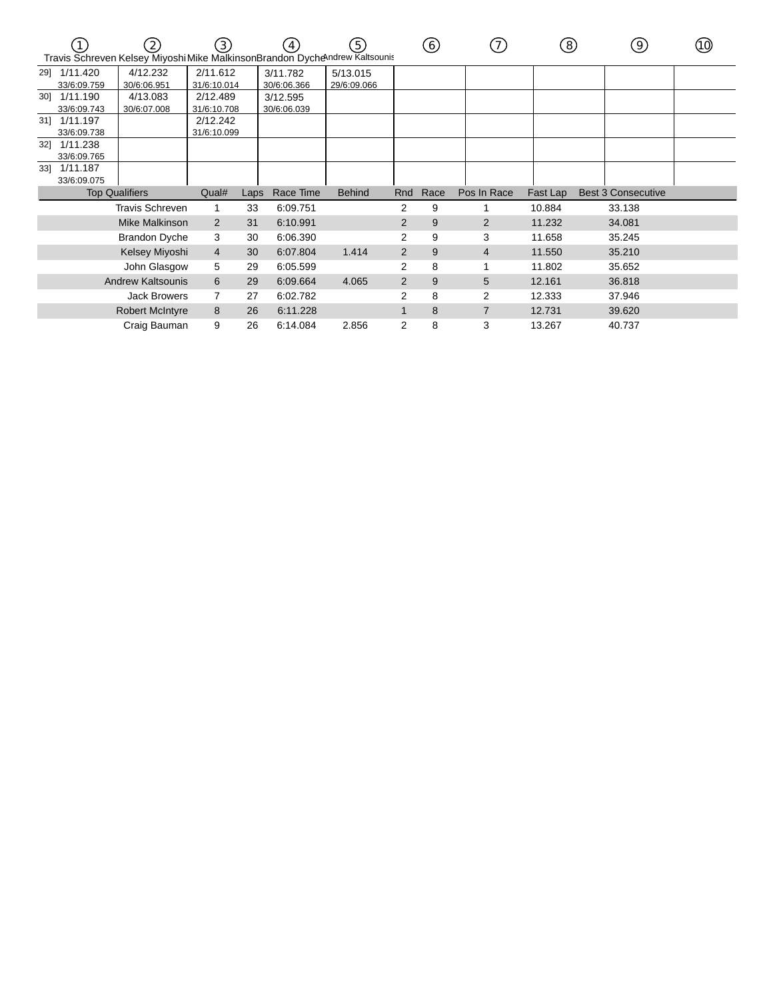|     |              | $\left( 2\right)$<br>Travis Schreven Kelsey Miyoshi Mike MalkinsonBrandon Dychendrew Kaltsounis | 3)             |      |             | (5)           |                | 6)   | $\left(7\right)$ | ි        | 9)                        | (10) |
|-----|--------------|-------------------------------------------------------------------------------------------------|----------------|------|-------------|---------------|----------------|------|------------------|----------|---------------------------|------|
|     | 29] 1/11.420 | 4/12.232                                                                                        | 2/11.612       |      | 3/11.782    | 5/13.015      |                |      |                  |          |                           |      |
|     | 33/6:09.759  | 30/6:06.951                                                                                     | 31/6:10.014    |      | 30/6:06.366 | 29/6:09.066   |                |      |                  |          |                           |      |
|     | 30] 1/11.190 | 4/13.083                                                                                        | 2/12.489       |      | 3/12.595    |               |                |      |                  |          |                           |      |
|     | 33/6:09.743  | 30/6:07.008                                                                                     | 31/6:10.708    |      | 30/6:06.039 |               |                |      |                  |          |                           |      |
|     | 31] 1/11.197 |                                                                                                 | 2/12.242       |      |             |               |                |      |                  |          |                           |      |
|     | 33/6:09.738  |                                                                                                 | 31/6:10.099    |      |             |               |                |      |                  |          |                           |      |
| 32] | 1/11.238     |                                                                                                 |                |      |             |               |                |      |                  |          |                           |      |
|     | 33/6:09.765  |                                                                                                 |                |      |             |               |                |      |                  |          |                           |      |
| 33] | 1/11.187     |                                                                                                 |                |      |             |               |                |      |                  |          |                           |      |
|     | 33/6:09.075  |                                                                                                 |                |      |             |               |                |      |                  |          |                           |      |
|     |              | <b>Top Qualifiers</b>                                                                           | Qual#          | Laps | Race Time   | <b>Behind</b> | Rnd            | Race | Pos In Race      | Fast Lap | <b>Best 3 Consecutive</b> |      |
|     |              | <b>Travis Schreven</b>                                                                          | 1              | 33   | 6:09.751    |               | 2              | 9    |                  | 10.884   | 33.138                    |      |
|     |              | Mike Malkinson                                                                                  | $\overline{2}$ | 31   | 6:10.991    |               | $\overline{2}$ | 9    | 2                | 11.232   | 34.081                    |      |
|     |              | <b>Brandon Dyche</b>                                                                            | 3              | 30   | 6:06.390    |               | 2              | 9    | 3                | 11.658   | 35.245                    |      |
|     |              | Kelsey Miyoshi                                                                                  | 4              | 30   | 6:07.804    | 1.414         | $\overline{2}$ | 9    | $\overline{4}$   | 11.550   | 35.210                    |      |
|     |              | John Glasgow                                                                                    | 5              | 29   | 6:05.599    |               | 2              | 8    |                  | 11.802   | 35.652                    |      |
|     |              | <b>Andrew Kaltsounis</b>                                                                        | 6              | 29   | 6:09.664    | 4.065         | $\overline{2}$ | 9    | 5                | 12.161   | 36.818                    |      |
|     |              | <b>Jack Browers</b>                                                                             | 7              | 27   | 6:02.782    |               | 2              | 8    | 2                | 12.333   | 37.946                    |      |
|     |              | <b>Robert McIntyre</b>                                                                          | 8              | 26   | 6:11.228    |               | $\mathbf{1}$   | 8    | 7                | 12.731   | 39.620                    |      |
|     |              | Craig Bauman                                                                                    | 9              | 26   | 6:14.084    | 2.856         | 2              | 8    | 3                | 13.267   | 40.737                    |      |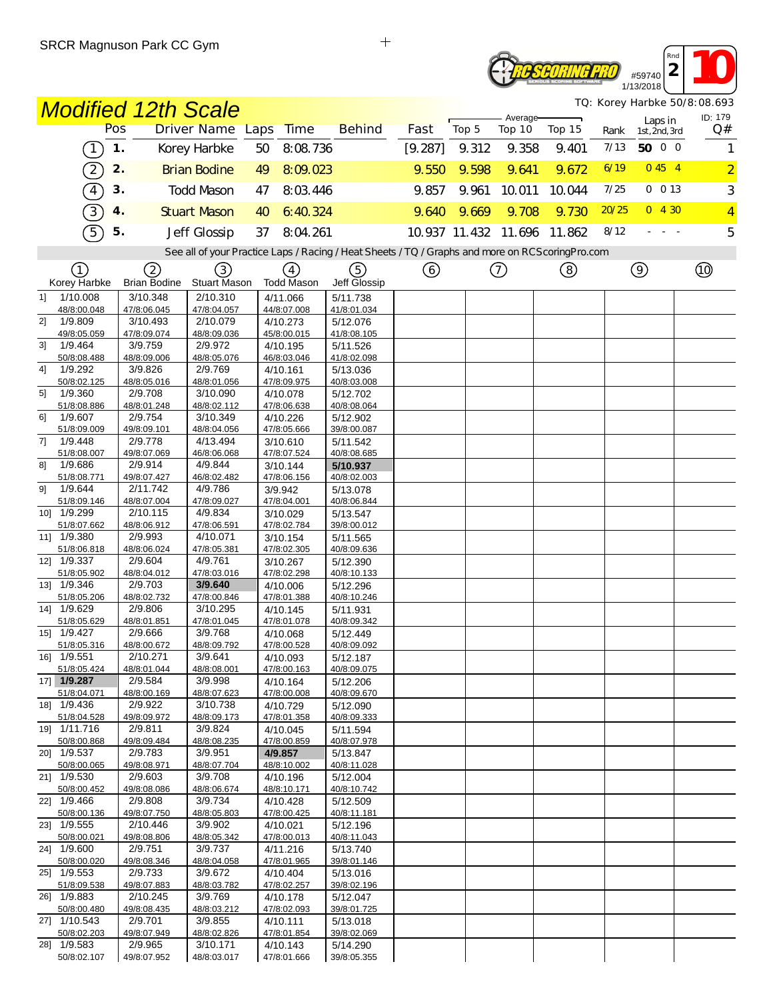#### **2 10** *Rnd* **TE SEORING PRO** #59740 1/13/2018

*TQ: Korey Harbke 50/8:08.693*

|    |                            | <b>Modified 12th Scale</b> |                         |                         |                                                                                                   |         |       |                      |        |       | TQ: Korey Harbke 50/8:08.693 |                |
|----|----------------------------|----------------------------|-------------------------|-------------------------|---------------------------------------------------------------------------------------------------|---------|-------|----------------------|--------|-------|------------------------------|----------------|
|    |                            | Pos                        | Driver Name Laps        | Time                    | <b>Behind</b>                                                                                     | Fast    | Top 5 | Average-<br>Top 10   | Top 15 | Rank  | Laps in<br>1st, 2nd, 3rd     | ID: 179<br>Q#  |
|    | $\boxed{1}$                | 1.                         | Korey Harbke            | 50<br>8:08.736          |                                                                                                   | [9.287] | 9.312 | 9.358                | 9.401  | 7/13  | 50 0 0                       | 1              |
|    | $\sqrt{2}$                 | 2.                         | <b>Brian Bodine</b>     | 8:09.023<br>49          |                                                                                                   | 9.550   | 9.598 | 9.641                | 9.672  | 6/19  | 0454                         | $\overline{2}$ |
|    | $\widehat{4}$              | 3.                         | <b>Todd Mason</b>       | 8:03.446<br>47          |                                                                                                   | 9.857   | 9.961 | 10.011               | 10.044 | 7/25  | 0 0 13                       | 3              |
|    | $\overline{3}$             | 4.                         | <b>Stuart Mason</b>     | 6:40.324<br>40          |                                                                                                   | 9.640   | 9.669 | 9.708                | 9.730  | 20/25 | 0, 4, 30                     | $\overline{4}$ |
|    | $\widehat{5}$              | 5.                         | Jeff Glossip            | 37<br>8:04.261          |                                                                                                   |         |       | 10.937 11.432 11.696 | 11.862 | 8/12  |                              | 5              |
|    |                            |                            |                         |                         | See all of your Practice Laps / Racing / Heat Sheets / TQ / Graphs and more on RCS coring Pro.com |         |       |                      |        |       |                              |                |
|    |                            |                            |                         |                         |                                                                                                   |         |       |                      |        |       |                              |                |
|    | (1)<br>Korey Harbke        | 2<br><b>Brian Bodine</b>   | (3)<br>Stuart Mason     | (4)<br>Todd Mason       | (5)<br>Jeff Glossip                                                                               | (6)     |       | $\left(  \right)$    | (8)    |       | $\circledcirc$               |                |
| 11 | 1/10.008                   | 3/10.348                   | 2/10.310                | 4/11.066                | 5/11.738                                                                                          |         |       |                      |        |       |                              |                |
| 2] | 48/8:00.048<br>1/9.809     | 47/8:06.045<br>3/10.493    | 47/8:04.057<br>2/10.079 | 44/8:07.008             | 41/8:01.034                                                                                       |         |       |                      |        |       |                              |                |
|    | 49/8:05.059                | 47/8:09.074                | 48/8:09.036             | 4/10.273<br>45/8:00.015 | 5/12.076<br>41/8:08.105                                                                           |         |       |                      |        |       |                              |                |
| 31 | 1/9.464                    | 3/9.759                    | 2/9.972                 | 4/10.195                | 5/11.526                                                                                          |         |       |                      |        |       |                              |                |
| 41 | 50/8:08.488<br>1/9.292     | 48/8:09.006<br>3/9.826     | 48/8:05.076<br>2/9.769  | 46/8:03.046<br>4/10.161 | 41/8:02.098<br>5/13.036                                                                           |         |       |                      |        |       |                              |                |
|    | 50/8:02.125                | 48/8:05.016                | 48/8:01.056             | 47/8:09.975             | 40/8:03.008                                                                                       |         |       |                      |        |       |                              |                |
| 51 | 1/9.360                    | 2/9.708                    | 3/10.090                | 4/10.078                | 5/12.702                                                                                          |         |       |                      |        |       |                              |                |
| 61 | 51/8:08.886<br>1/9.607     | 48/8:01.248<br>2/9.754     | 48/8:02.112<br>3/10.349 | 47/8:06.638<br>4/10.226 | 40/8:08.064<br>5/12.902                                                                           |         |       |                      |        |       |                              |                |
|    | 51/8:09.009                | 49/8:09.101                | 48/8:04.056             | 47/8:05.666             | 39/8:00.087                                                                                       |         |       |                      |        |       |                              |                |
| 7] | 1/9.448                    | 2/9.778                    | 4/13.494                | 3/10.610                | 5/11.542                                                                                          |         |       |                      |        |       |                              |                |
| 81 | 51/8:08.007<br>1/9.686     | 49/8:07.069<br>2/9.914     | 46/8:06.068<br>4/9.844  | 47/8:07.524<br>3/10.144 | 40/8:08.685<br>5/10.937                                                                           |         |       |                      |        |       |                              |                |
|    | 51/8:08.771                | 49/8:07.427                | 46/8:02.482             | 47/8:06.156             | 40/8:02.003                                                                                       |         |       |                      |        |       |                              |                |
| 91 | 1/9.644                    | 2/11.742                   | 4/9.786                 | 3/9.942                 | 5/13.078                                                                                          |         |       |                      |        |       |                              |                |
|    | 51/8:09.146<br>10] 1/9.299 | 48/8:07.004<br>2/10.115    | 47/8:09.027<br>4/9.834  | 47/8:04.001<br>3/10.029 | 40/8:06.844<br>5/13.547                                                                           |         |       |                      |        |       |                              |                |
|    | 51/8:07.662                | 48/8:06.912                | 47/8:06.591             | 47/8:02.784             | 39/8:00.012                                                                                       |         |       |                      |        |       |                              |                |
|    | 11] 1/9.380                | 2/9.993                    | 4/10.071                | 3/10.154                | 5/11.565                                                                                          |         |       |                      |        |       |                              |                |
|    | 51/8:06.818<br>12] 1/9.337 | 48/8:06.024<br>2/9.604     | 47/8:05.381<br>4/9.761  | 47/8:02.305<br>3/10.267 | 40/8:09.636<br>5/12.390                                                                           |         |       |                      |        |       |                              |                |
|    | 51/8:05.902                | 48/8:04.012                | 47/8:03.016             | 47/8:02.298             | 40/8:10.133                                                                                       |         |       |                      |        |       |                              |                |
|    | 13] 1/9.346                | 2/9.703                    | 3/9.640                 | 4/10.006                | 5/12.296                                                                                          |         |       |                      |        |       |                              |                |
|    | 51/8:05.206<br>14] 1/9.629 | 48/8:02.732<br>2/9.806     | 47/8:00.846<br>3/10.295 | 47/8:01.388             | 40/8:10.246                                                                                       |         |       |                      |        |       |                              |                |
|    | 51/8:05.629                | 48/8:01.851                | 47/8:01.045             | 4/10.145<br>47/8:01.078 | 5/11.931<br>40/8:09.342                                                                           |         |       |                      |        |       |                              |                |
|    | 15] 1/9.427                | 2/9.666                    | 3/9.768                 | 4/10.068                | 5/12.449                                                                                          |         |       |                      |        |       |                              |                |
|    | 51/8:05.316<br>16] 1/9.551 | 48/8:00.672<br>2/10.271    | 48/8:09.792<br>3/9.641  | 47/8:00.528             | 40/8:09.092                                                                                       |         |       |                      |        |       |                              |                |
|    | 51/8:05.424                | 48/8:01.044                | 48/8:08.001             | 4/10.093<br>47/8:00.163 | 5/12.187<br>40/8:09.075                                                                           |         |       |                      |        |       |                              |                |
|    | 17] 1/9.287                | 2/9.584                    | 3/9.998                 | 4/10.164                | 5/12.206                                                                                          |         |       |                      |        |       |                              |                |
|    | 51/8:04.071<br>18] 1/9.436 | 48/8:00.169<br>2/9.922     | 48/8:07.623<br>3/10.738 | 47/8:00.008<br>4/10.729 | 40/8:09.670<br>5/12.090                                                                           |         |       |                      |        |       |                              |                |
|    | 51/8:04.528                | 49/8:09.972                | 48/8:09.173             | 47/8:01.358             | 40/8:09.333                                                                                       |         |       |                      |        |       |                              |                |
|    | 19] 1/11.716               | 2/9.811                    | 3/9.824                 | 4/10.045                | 5/11.594                                                                                          |         |       |                      |        |       |                              |                |
|    | 50/8:00.868<br>20] 1/9.537 | 49/8:09.484<br>2/9.783     | 48/8:08.235<br>3/9.951  | 47/8:00.859<br>4/9.857  | 40/8:07.978<br>5/13.847                                                                           |         |       |                      |        |       |                              |                |
|    | 50/8:00.065                | 49/8:08.971                | 48/8:07.704             | 48/8:10.002             | 40/8:11.028                                                                                       |         |       |                      |        |       |                              |                |
|    | 21] 1/9.530                | 2/9.603                    | 3/9.708                 | 4/10.196                | 5/12.004                                                                                          |         |       |                      |        |       |                              |                |
|    | 50/8:00.452<br>22] 1/9.466 | 49/8:08.086<br>2/9.808     | 48/8:06.674<br>3/9.734  | 48/8:10.171<br>4/10.428 | 40/8:10.742<br>5/12.509                                                                           |         |       |                      |        |       |                              |                |
|    | 50/8:00.136                | 49/8:07.750                | 48/8:05.803             | 47/8:00.425             | 40/8:11.181                                                                                       |         |       |                      |        |       |                              |                |
|    | 23] 1/9.555                | 2/10.446                   | 3/9.902                 | 4/10.021                | 5/12.196                                                                                          |         |       |                      |        |       |                              |                |
|    | 50/8:00.021<br>24] 1/9.600 | 49/8:08.806<br>2/9.751     | 48/8:05.342<br>3/9.737  | 47/8:00.013<br>4/11.216 | 40/8:11.043<br>5/13.740                                                                           |         |       |                      |        |       |                              |                |
|    | 50/8:00.020                | 49/8:08.346                | 48/8:04.058             | 47/8:01.965             | 39/8:01.146                                                                                       |         |       |                      |        |       |                              |                |
|    | 25] 1/9.553                | 2/9.733                    | 3/9.672                 | 4/10.404                | 5/13.016                                                                                          |         |       |                      |        |       |                              |                |
|    | 51/8:09.538<br>26] 1/9.883 | 49/8:07.883<br>2/10.245    | 48/8:03.782<br>3/9.769  | 47/8:02.257<br>4/10.178 | 39/8:02.196<br>5/12.047                                                                           |         |       |                      |        |       |                              |                |
|    | 50/8:00.480                | 49/8:08.435                | 48/8:03.212             | 47/8:02.093             | 39/8:01.725                                                                                       |         |       |                      |        |       |                              |                |
|    | 27] 1/10.543               | 2/9.701                    | 3/9.855                 | 4/10.111                | 5/13.018                                                                                          |         |       |                      |        |       |                              |                |
|    | 50/8:02.203<br>28] 1/9.583 | 49/8:07.949<br>2/9.965     | 48/8:02.826<br>3/10.171 | 47/8:01.854<br>4/10.143 | 39/8:02.069<br>5/14.290                                                                           |         |       |                      |        |       |                              |                |
|    | 50/8:02.107                | 49/8:07.952                | 48/8:03.017             | 47/8:01.666             | 39/8:05.355                                                                                       |         |       |                      |        |       |                              |                |